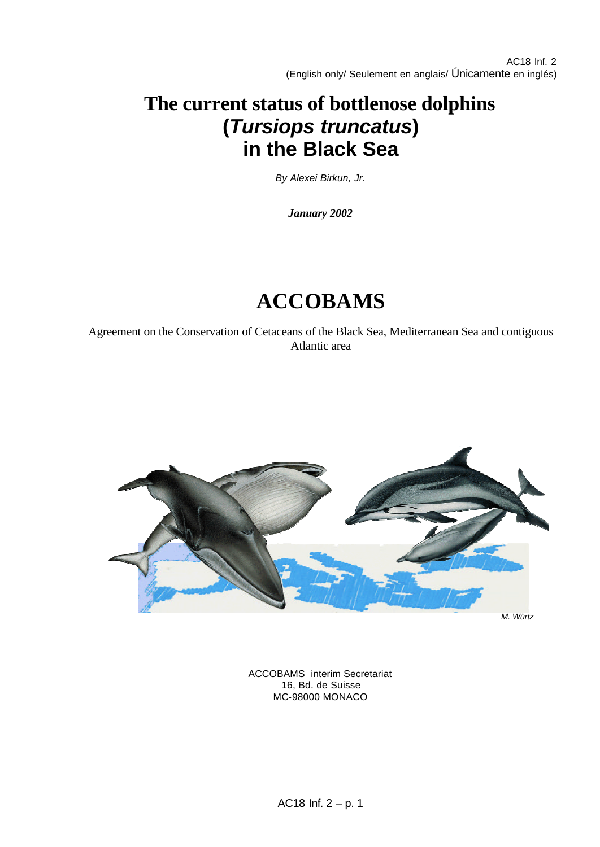# **The current status of bottlenose dolphins (***Tursiops truncatus***) in the Black Sea**

*By Alexei Birkun, Jr.*

*January 2002*

# **ACCOBAMS**

Agreement on the Conservation of Cetaceans of the Black Sea, Mediterranean Sea and contiguous Atlantic area



*M. Würtz*

ACCOBAMS interim Secretariat 16, Bd. de Suisse MC-98000 MONACO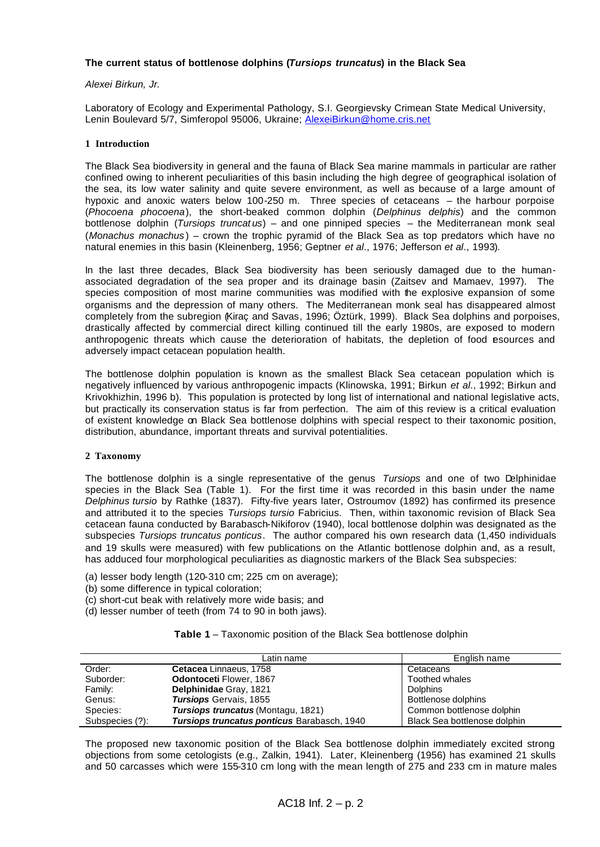#### **The current status of bottlenose dolphins (***Tursiops truncatus***) in the Black Sea**

#### *Alexei Birkun, Jr.*

Laboratory of Ecology and Experimental Pathology, S.I. Georgievsky Crimean State Medical University, Lenin Boulevard 5/7, Simferopol 95006, Ukraine; AlexeiBirkun@home.cris.net

#### **1 Introduction**

The Black Sea biodiversity in general and the fauna of Black Sea marine mammals in particular are rather confined owing to inherent peculiarities of this basin including the high degree of geographical isolation of the sea, its low water salinity and quite severe environment, as well as because of a large amount of hypoxic and anoxic waters below 100-250 m. Three species of cetaceans – the harbour porpoise (*Phocoena phocoena*), the short-beaked common dolphin (*Delphinus delphis*) and the common bottlenose dolphin (*Tursiops truncat us*) – and one pinniped species – the Mediterranean monk seal (*Monachus monachus* ) – crown the trophic pyramid of the Black Sea as top predators which have no natural enemies in this basin (Kleinenberg, 1956; Geptner *et al*., 1976; Jefferson *et al*., 1993).

In the last three decades, Black Sea biodiversity has been seriously damaged due to the humanassociated degradation of the sea proper and its drainage basin (Zaitsev and Mamaev, 1997). The species composition of most marine communities was modified with the explosive expansion of some organisms and the depression of many others. The Mediterranean monk seal has disappeared almost completely from the subregion (Kiraç and Savas, 1996; Öztürk, 1999). Black Sea dolphins and porpoises, drastically affected by commercial direct killing continued till the early 1980s, are exposed to modern anthropogenic threats which cause the deterioration of habitats, the depletion of food esources and adversely impact cetacean population health.

The bottlenose dolphin population is known as the smallest Black Sea cetacean population which is negatively influenced by various anthropogenic impacts (Klinowska, 1991; Birkun *et al*., 1992; Birkun and Krivokhizhin, 1996 b). This population is protected by long list of international and national legislative acts, but practically its conservation status is far from perfection. The aim of this review is a critical evaluation of existent knowledge on Black Sea bottlenose dolphins with special respect to their taxonomic position, distribution, abundance, important threats and survival potentialities.

#### **2 Taxonomy**

The bottlenose dolphin is a single representative of the genus *Tursiops* and one of two Delphinidae species in the Black Sea (Table 1). For the first time it was recorded in this basin under the name *Delphinus tursio* by Rathke (1837). Fifty-five years later, Ostroumov (1892) has confirmed its presence and attributed it to the species *Tursiops tursio* Fabricius. Then, within taxonomic revision of Black Sea cetacean fauna conducted by Barabasch-Nikiforov (1940), local bottlenose dolphin was designated as the subspecies *Tursiops truncatus ponticus*. The author compared his own research data (1,450 individuals and 19 skulls were measured) with few publications on the Atlantic bottlenose dolphin and, as a result, has adduced four morphological peculiarities as diagnostic markers of the Black Sea subspecies:

- (a) lesser body length (120-310 cm; 225 cm on average);
- (b) some difference in typical coloration;
- (c) short-cut beak with relatively more wide basis; and
- (d) lesser number of teeth (from 74 to 90 in both jaws).

|  | Table 1 - Taxonomic position of the Black Sea bottlenose dolphin |  |  |  |  |  |
|--|------------------------------------------------------------------|--|--|--|--|--|
|--|------------------------------------------------------------------|--|--|--|--|--|

|                 | Latin name                                  | English name                 |
|-----------------|---------------------------------------------|------------------------------|
| Order:          | Cetacea Linnaeus, 1758                      | Cetaceans                    |
| Suborder:       | Odontoceti Flower, 1867                     | <b>Toothed whales</b>        |
| Family:         | Delphinidae Gray, 1821                      | <b>Dolphins</b>              |
| Genus:          | <b>Tursiops</b> Gervais, 1855               | Bottlenose dolphins          |
| Species:        | <b>Tursiops truncatus</b> (Montagu, 1821)   | Common bottlenose dolphin    |
| Subspecies (?): | Tursiops truncatus ponticus Barabasch, 1940 | Black Sea bottlenose dolphin |

The proposed new taxonomic position of the Black Sea bottlenose dolphin immediately excited strong objections from some cetologists (e.g., Zalkin, 1941). Later, Kleinenberg (1956) has examined 21 skulls and 50 carcasses which were 155-310 cm long with the mean length of 275 and 233 cm in mature males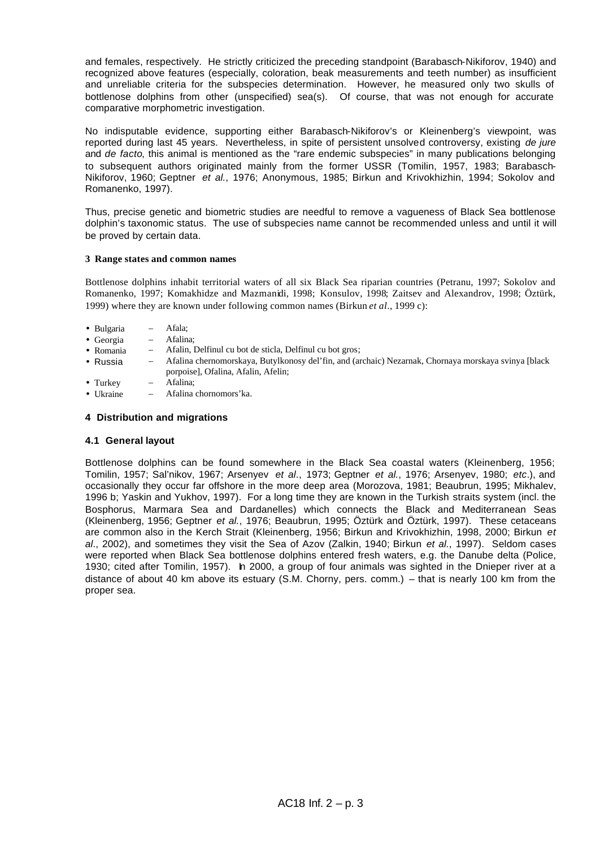and females, respectively. He strictly criticized the preceding standpoint (Barabasch-Nikiforov, 1940) and recognized above features (especially, coloration, beak measurements and teeth number) as insufficient and unreliable criteria for the subspecies determination. However, he measured only two skulls of bottlenose dolphins from other (unspecified) sea(s). Of course, that was not enough for accurate comparative morphometric investigation.

No indisputable evidence, supporting either Barabasch-Nikiforov's or Kleinenberg's viewpoint, was reported during last 45 years. Nevertheless, in spite of persistent unsolved controversy, existing *de jure*  and *de facto*, this animal is mentioned as the "rare endemic subspecies" in many publications belonging to subsequent authors originated mainly from the former USSR (Tomilin, 1957, 1983; Barabasch-Nikiforov, 1960; Geptner *et al.*, 1976; Anonymous, 1985; Birkun and Krivokhizhin, 1994; Sokolov and Romanenko, 1997).

Thus, precise genetic and biometric studies are needful to remove a vagueness of Black Sea bottlenose dolphin's taxonomic status. The use of subspecies name cannot be recommended unless and until it will be proved by certain data.

#### **3 Range states and common names**

Bottlenose dolphins inhabit territorial waters of all six Black Sea riparian countries (Petranu, 1997; Sokolov and Romanenko, 1997; Komakhidze and Mazmanidi, 1998; Konsulov, 1998; Zaitsev and Alexandrov, 1998; Öztürk, 1999) where they are known under following common names (Birkun *et al*., 1999 c):

- Bulgaria Afala;
- Georgia Afalina;
- Romania Afalin, Delfinul cu bot de sticla, Delfinul cu bot gros;
- Russia Afalina chernomorskaya, Butylkonosy del'fin, and (archaic) Nezarnak, Chornaya morskaya svinya [black porpoise], Ofalina, Afalin, Afelin;
- Turkey Afalina;
- Ukraine Afalina chornomors'ka.

# **4 Distribution and migrations**

#### **4.1 General layout**

Bottlenose dolphins can be found somewhere in the Black Sea coastal waters (Kleinenberg, 1956; Tomilin, 1957; Sal'nikov, 1967; Arsenyev *et al*., 1973; Geptner *et al.*, 1976; Arsenyev, 1980; *etc*.), and occasionally they occur far offshore in the more deep area (Morozova, 1981; Beaubrun, 1995; Mikhalev, 1996 b; Yaskin and Yukhov, 1997). For a long time they are known in the Turkish straits system (incl. the Bosphorus, Marmara Sea and Dardanelles) which connects the Black and Mediterranean Seas (Kleinenberg, 1956; Geptner *et al.*, 1976; Beaubrun, 1995; Öztürk and Öztürk, 1997). These cetaceans are common also in the Kerch Strait (Kleinenberg, 1956; Birkun and Krivokhizhin, 1998, 2000; Birkun *et al*., 2002), and sometimes they visit the Sea of Azov (Zalkin, 1940; Birkun *et al.*, 1997). Seldom cases were reported when Black Sea bottlenose dolphins entered fresh waters, e.g. the Danube delta (Police, 1930; cited after Tomilin, 1957). In 2000, a group of four animals was sighted in the Dnieper river at a distance of about 40 km above its estuary (S.M. Chorny, pers. comm.) – that is nearly 100 km from the proper sea.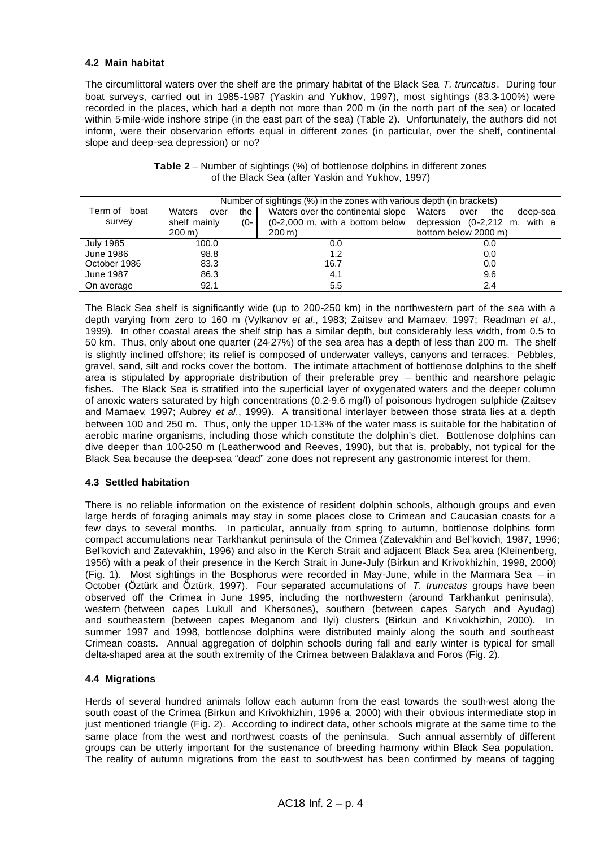# **4.2 Main habitat**

The circumlittoral waters over the shelf are the primary habitat of the Black Sea *T. truncatus*. During four boat surveys, carried out in 1985-1987 (Yaskin and Yukhov, 1997), most sightings (83.3-100%) were recorded in the places, which had a depth not more than 200 m (in the north part of the sea) or located within 5-mile-wide inshore stripe (in the east part of the sea) (Table 2). Unfortunately, the authors did not inform, were their observarion efforts equal in different zones (in particular, over the shelf, continental slope and deep-sea depression) or no?

|                  | Number of sightings (%) in the zones with various depth (in brackets) |                                               |                                                  |  |  |  |
|------------------|-----------------------------------------------------------------------|-----------------------------------------------|--------------------------------------------------|--|--|--|
| Term of boat     | <b>Waters</b><br>the I<br>over                                        | Waters over the continental slope             | Waters<br>the<br>deep-sea<br>over                |  |  |  |
| survey           | shelf mainly<br>(0-                                                   | $(0-2,000 \, \text{m})$ , with a bottom below | depression $(0-2,212 \text{ m}, \text{ with a})$ |  |  |  |
|                  | $200 \,\mathrm{m}$ )                                                  | $200 \,\mathrm{m}$                            | bottom below 2000 m)                             |  |  |  |
| July 1985        | 100.0                                                                 | 0.0                                           | 0.0                                              |  |  |  |
| <b>June 1986</b> | 98.8                                                                  | 1.2                                           | 0.0                                              |  |  |  |
| October 1986     | 83.3                                                                  | 16.7                                          | 0.0                                              |  |  |  |
| <b>June 1987</b> | 86.3                                                                  | 4.1                                           | 9.6                                              |  |  |  |
| On average       | 92.1                                                                  | 5.5                                           | 2.4                                              |  |  |  |

| <b>Table 2</b> – Number of sightings (%) of bottlenose dolphins in different zones |  |
|------------------------------------------------------------------------------------|--|
| of the Black Sea (after Yaskin and Yukhov, 1997)                                   |  |

The Black Sea shelf is significantly wide (up to 200-250 km) in the northwestern part of the sea with a depth varying from zero to 160 m (Vylkanov *et al*., 1983; Zaitsev and Mamaev, 1997; Readman *et al*., 1999). In other coastal areas the shelf strip has a similar depth, but considerably less width, from 0.5 to 50 km. Thus, only about one quarter (24-27%) of the sea area has a depth of less than 200 m. The shelf is slightly inclined offshore; its relief is composed of underwater valleys, canyons and terraces. Pebbles, gravel, sand, silt and rocks cover the bottom. The intimate attachment of bottlenose dolphins to the shelf area is stipulated by appropriate distribution of their preferable prey – benthic and nearshore pelagic fishes. The Black Sea is stratified into the superficial layer of oxygenated waters and the deeper column of anoxic waters saturated by high concentrations (0.2-9.6 mg/l) of poisonous hydrogen sulphide (Zaitsev and Mamaev, 1997; Aubrey *et al*., 1999). A transitional interlayer between those strata lies at a depth between 100 and 250 m. Thus, only the upper 10-13% of the water mass is suitable for the habitation of aerobic marine organisms, including those which constitute the dolphin's diet. Bottlenose dolphins can dive deeper than 100-250 m (Leatherwood and Reeves, 1990), but that is, probably, not typical for the Black Sea because the deep-sea "dead" zone does not represent any gastronomic interest for them.

# **4.3 Settled habitation**

There is no reliable information on the existence of resident dolphin schools, although groups and even large herds of foraging animals may stay in some places close to Crimean and Caucasian coasts for a few days to several months. In particular, annually from spring to autumn, bottlenose dolphins form compact accumulations near Tarkhankut peninsula of the Crimea (Zatevakhin and Bel'kovich, 1987, 1996; Bel'kovich and Zatevakhin, 1996) and also in the Kerch Strait and adjacent Black Sea area (Kleinenberg, 1956) with a peak of their presence in the Kerch Strait in June-July (Birkun and Krivokhizhin, 1998, 2000) (Fig. 1). Most sightings in the Bosphorus were recorded in May-June, while in the Marmara Sea – in October (Öztürk and Öztürk, 1997). Four separated accumulations of *T. truncatus* groups have been observed off the Crimea in June 1995, including the northwestern (around Tarkhankut peninsula), western (between capes Lukull and Khersones), southern (between capes Sarych and Ayudag) and southeastern (between capes Meganom and Ilyi) clusters (Birkun and Krivokhizhin, 2000). In summer 1997 and 1998, bottlenose dolphins were distributed mainly along the south and southeast Crimean coasts. Annual aggregation of dolphin schools during fall and early winter is typical for small delta-shaped area at the south extremity of the Crimea between Balaklava and Foros (Fig. 2).

# **4.4 Migrations**

Herds of several hundred animals follow each autumn from the east towards the south-west along the south coast of the Crimea (Birkun and Krivokhizhin, 1996 a, 2000) with their obvious intermediate stop in just mentioned triangle (Fig. 2). According to indirect data, other schools migrate at the same time to the same place from the west and northwest coasts of the peninsula. Such annual assembly of different groups can be utterly important for the sustenance of breeding harmony within Black Sea population. The reality of autumn migrations from the east to south-west has been confirmed by means of tagging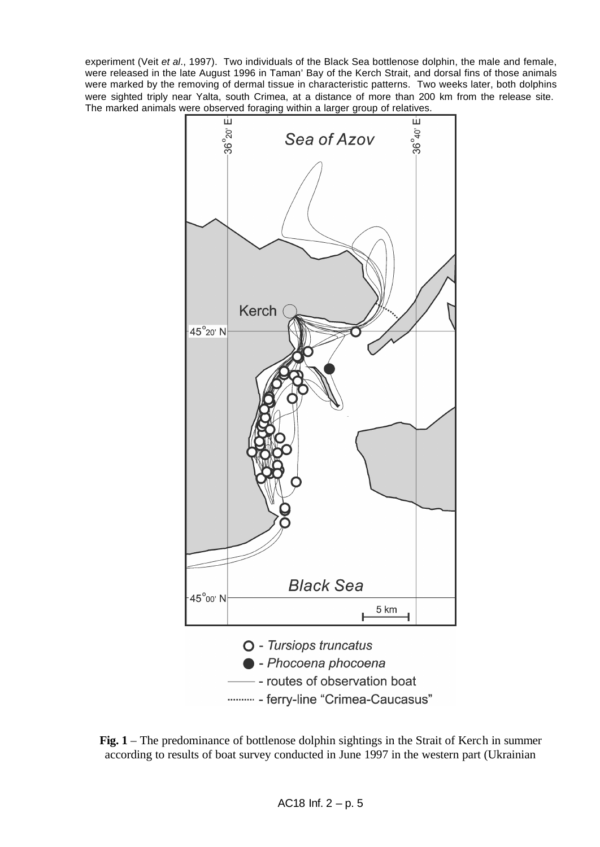experiment (Veit *et al*., 1997). Two individuals of the Black Sea bottlenose dolphin, the male and female, were released in the late August 1996 in Taman' Bay of the Kerch Strait, and dorsal fins of those animals were marked by the removing of dermal tissue in characteristic patterns. Two weeks later, both dolphins were sighted triply near Yalta, south Crimea, at a distance of more than 200 km from the release site. The marked animals were observed foraging within a larger group of relatives.



**Fig. 1** – The predominance of bottlenose dolphin sightings in the Strait of Kerch in summer according to results of boat survey conducted in June 1997 in the western part (Ukrainian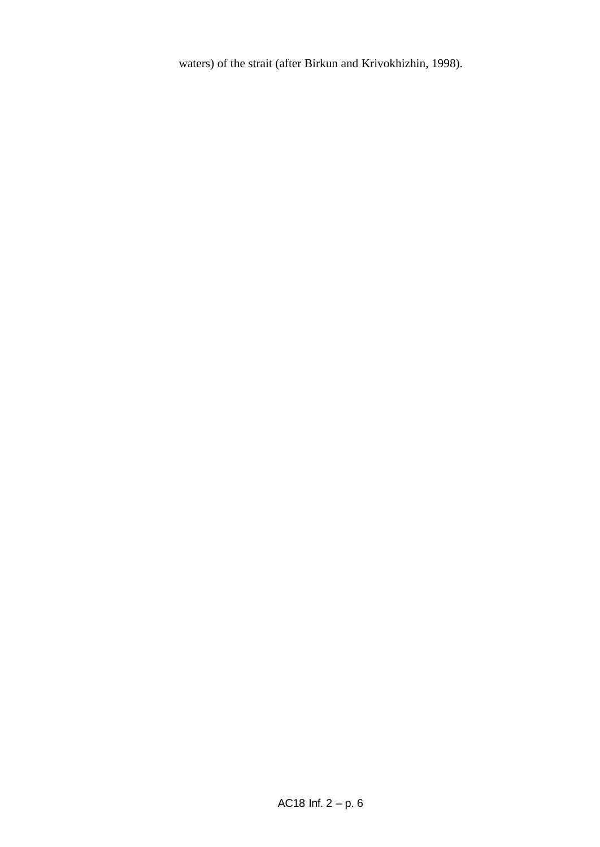waters) of the strait (after Birkun and Krivokhizhin, 1998).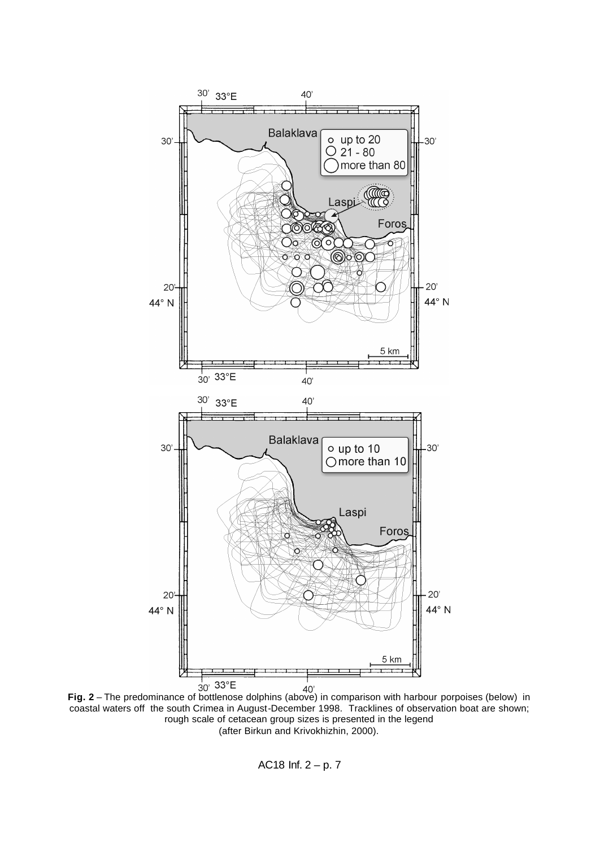

<sup>30'</sup> <sup>33°</sup>E<br>**Fig. 2** – The predominance of bottlenose dolphins (above) in comparison with harbour porpoises (below) in coastal waters off the south Crimea in August-December 1998. Tracklines of observation boat are shown; rough scale of cetacean group sizes is presented in the legend (after Birkun and Krivokhizhin, 2000).

AC18 Inf. 2 – p. 7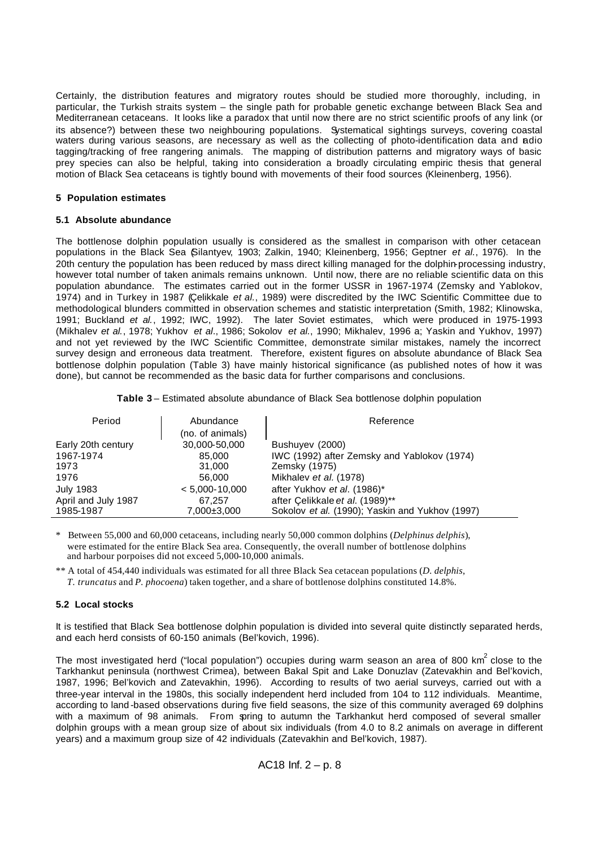Certainly, the distribution features and migratory routes should be studied more thoroughly, including, in particular, the Turkish straits system – the single path for probable genetic exchange between Black Sea and Mediterranean cetaceans. It looks like a paradox that until now there are no strict scientific proofs of any link (or its absence?) between these two neighbouring populations. Systematical sightings surveys, covering coastal waters during various seasons, are necessary as well as the collecting of photo-identification data and adio tagging/tracking of free rangering animals. The mapping of distribution patterns and migratory ways of basic prey species can also be helpful, taking into consideration a broadly circulating empiric thesis that general motion of Black Sea cetaceans is tightly bound with movements of their food sources (Kleinenberg, 1956).

# **5 Population estimates**

#### **5.1 Absolute abundance**

The bottlenose dolphin population usually is considered as the smallest in comparison with other cetacean populations in the Black Sea (Silantyev, 1903; Zalkin, 1940; Kleinenberg, 1956; Geptner *et al.*, 1976). In the 20th century the population has been reduced by mass direct killing managed for the dolphin-processing industry, however total number of taken animals remains unknown. Until now, there are no reliable scientific data on this population abundance. The estimates carried out in the former USSR in 1967-1974 (Zemsky and Yablokov, 1974) and in Turkey in 1987 (Çelikkale *et al.*, 1989) were discredited by the IWC Scientific Committee due to methodological blunders committed in observation schemes and statistic interpretation (Smith, 1982; Klinowska, 1991; Buckland *et al.*, 1992; IWC, 1992). The later Soviet estimates, which were produced in 1975-1993 (Mikhalev *et al.*, 1978; Yukhov *et al*., 1986; Sokolov *et al.*, 1990; Mikhalev, 1996 a; Yaskin and Yukhov, 1997) and not yet reviewed by the IWC Scientific Committee, demonstrate similar mistakes, namely the incorrect survey design and erroneous data treatment. Therefore, existent figures on absolute abundance of Black Sea bottlenose dolphin population (Table 3) have mainly historical significance (as published notes of how it was done), but cannot be recommended as the basic data for further comparisons and conclusions.

**Table 3** – Estimated absolute abundance of Black Sea bottlenose dolphin population

| Period              | Abundance<br>(no. of animals) | Reference                                       |
|---------------------|-------------------------------|-------------------------------------------------|
| Early 20th century  | 30,000-50,000                 | Bushuyev (2000)                                 |
| 1967-1974           | 85.000                        | IWC (1992) after Zemsky and Yablokov (1974)     |
| 1973                | 31.000                        | Zemsky (1975)                                   |
| 1976                | 56.000                        | Mikhalev et al. (1978)                          |
| <b>July 1983</b>    | $< 5,000-10,000$              | after Yukhov et al. (1986)*                     |
| April and July 1987 | 67.257                        | after Çelikkale et al. (1989)**                 |
| 1985-1987           | $7,000\pm3,000$               | Sokolov et al. (1990); Yaskin and Yukhov (1997) |

\* Between 55,000 and 60,000 cetaceans, including nearly 50,000 common dolphins (*Delphinus delphis*), were estimated for the entire Black Sea area. Consequently, the overall number of bottlenose dolphins and harbour porpoises did not exceed 5,000-10,000 animals.

\*\* A total of 454,440 individuals was estimated for all three Black Sea cetacean populations (*D. delphis*,  *T. truncatus* and *P. phocoena*) taken together, and a share of bottlenose dolphins constituted 14.8%.

# **5.2 Local stocks**

It is testified that Black Sea bottlenose dolphin population is divided into several quite distinctly separated herds, and each herd consists of 60-150 animals (Bel'kovich, 1996).

The most investigated herd ("local population") occupies during warm season an area of 800 km<sup>2</sup> close to the Tarkhankut peninsula (northwest Crimea), between Bakal Spit and Lake Donuzlav (Zatevakhin and Bel'kovich, 1987, 1996; Bel'kovich and Zatevakhin, 1996). According to results of two aerial surveys, carried out with a three-year interval in the 1980s, this socially independent herd included from 104 to 112 individuals. Meantime, according to land -based observations during five field seasons, the size of this community averaged 69 dolphins with a maximum of 98 animals. From spring to autumn the Tarkhankut herd composed of several smaller dolphin groups with a mean group size of about six individuals (from 4.0 to 8.2 animals on average in different years) and a maximum group size of 42 individuals (Zatevakhin and Bel'kovich, 1987).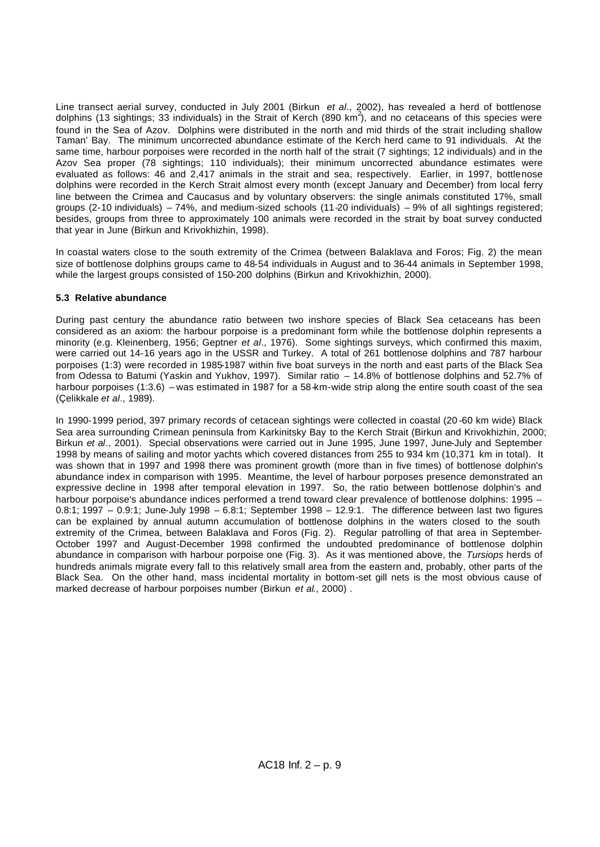Line transect aerial survey, conducted in July 2001 (Birkun *et al*., 2002), has revealed a herd of bottlenose dolphins (13 sightings; 33 individuals) in the Strait of Kerch (890 km<sup>2</sup>), and no cetaceans of this species were found in the Sea of Azov. Dolphins were distributed in the north and mid thirds of the strait including shallow Taman' Bay. The minimum uncorrected abundance estimate of the Kerch herd came to 91 individuals. At the same time, harbour porpoises were recorded in the north half of the strait (7 sightings; 12 individuals) and in the Azov Sea proper (78 sightings; 110 individuals); their minimum uncorrected abundance estimates were evaluated as follows: 46 and 2,417 animals in the strait and sea, respectively. Earlier, in 1997, bottlenose dolphins were recorded in the Kerch Strait almost every month (except January and December) from local ferry line between the Crimea and Caucasus and by voluntary observers: the single animals constituted 17%, small groups (2-10 individuals) – 74%, and medium-sized schools (11-20 individuals) – 9% of all sightings registered; besides, groups from three to approximately 100 animals were recorded in the strait by boat survey conducted that year in June (Birkun and Krivokhizhin, 1998).

In coastal waters close to the south extremity of the Crimea (between Balaklava and Foros; Fig. 2) the mean size of bottlenose dolphins groups came to 48-54 individuals in August and to 36-44 animals in September 1998, while the largest groups consisted of 150-200 dolphins (Birkun and Krivokhizhin, 2000).

# **5.3 Relative abundance**

During past century the abundance ratio between two inshore species of Black Sea cetaceans has been considered as an axiom: the harbour porpoise is a predominant form while the bottlenose dolphin represents a minority (e.g. Kleinenberg, 1956; Geptner *et al*., 1976). Some sightings surveys, which confirmed this maxim, were carried out 14-16 years ago in the USSR and Turkey. A total of 261 bottlenose dolphins and 787 harbour porpoises (1:3) were recorded in 1985-1987 within five boat surveys in the north and east parts of the Black Sea from Odessa to Batumi (Yaskin and Yukhov, 1997). Similar ratio – 14.8% of bottlenose dolphins and 52.7% of harbour porpoises (1:3.6) – was estimated in 1987 for a 58<sup>+</sup>km-wide strip along the entire south coast of the sea (Çelikkale *et al*., 1989).

In 1990-1999 period, 397 primary records of cetacean sightings were collected in coastal (20 -60 km wide) Black Sea area surrounding Crimean peninsula from Karkinitsky Bay to the Kerch Strait (Birkun and Krivokhizhin, 2000; Birkun *et al*., 2001). Special observations were carried out in June 1995, June 1997, June-July and September 1998 by means of sailing and motor yachts which covered distances from 255 to 934 km (10,371 km in total). It was shown that in 1997 and 1998 there was prominent growth (more than in five times) of bottlenose dolphin's abundance index in comparison with 1995. Meantime, the level of harbour porposes presence demonstrated an expressive decline in 1998 after temporal elevation in 1997. So, the ratio between bottlenose dolphin's and harbour porpoise's abundance indices performed a trend toward clear prevalence of bottlenose dolphins: 1995 – 0.8:1; 1997 – 0.9:1; June-July 1998 – 6.8:1; September 1998 – 12.9:1. The difference between last two figures can be explained by annual autumn accumulation of bottlenose dolphins in the waters closed to the south extremity of the Crimea, between Balaklava and Foros (Fig. 2). Regular patrolling of that area in September-October 1997 and August-December 1998 confirmed the undoubted predominance of bottlenose dolphin abundance in comparison with harbour porpoise one (Fig. 3). As it was mentioned above, the *Tursiops* herds of hundreds animals migrate every fall to this relatively small area from the eastern and, probably, other parts of the Black Sea. On the other hand, mass incidental mortality in bottom-set gill nets is the most obvious cause of marked decrease of harbour porpoises number (Birkun *et al*., 2000) .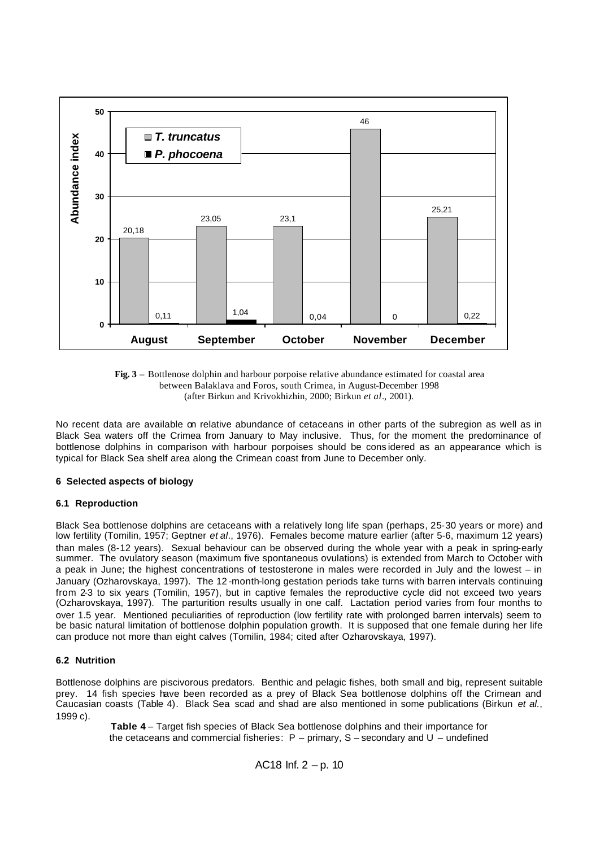



No recent data are available on relative abundance of cetaceans in other parts of the subregion as well as in Black Sea waters off the Crimea from January to May inclusive. Thus, for the moment the predominance of bottlenose dolphins in comparison with harbour porpoises should be cons idered as an appearance which is typical for Black Sea shelf area along the Crimean coast from June to December only.

#### **6 Selected aspects of biology**

#### **6.1 Reproduction**

Black Sea bottlenose dolphins are cetaceans with a relatively long life span (perhaps, 25-30 years or more) and low fertility (Tomilin, 1957; Geptner *et al*., 1976). Females become mature earlier (after 5-6, maximum 12 years) than males (8-12 years). Sexual behaviour can be observed during the whole year with a peak in spring-early summer. The ovulatory season (maximum five spontaneous ovulations) is extended from March to October with a peak in June; the highest concentrations of testosterone in males were recorded in July and the lowest – in January (Ozharovskaya, 1997). The 12 -month-long gestation periods take turns with barren intervals continuing from 2-3 to six years (Tomilin, 1957), but in captive females the reproductive cycle did not exceed two years (Ozharovskaya, 1997). The parturition results usually in one calf. Lactation period varies from four months to over 1.5 year. Mentioned peculiarities of reproduction (low fertility rate with prolonged barren intervals) seem to be basic natural limitation of bottlenose dolphin population growth. It is supposed that one female during her life can produce not more than eight calves (Tomilin, 1984; cited after Ozharovskaya, 1997).

# **6.2 Nutrition**

Bottlenose dolphins are piscivorous predators. Benthic and pelagic fishes, both small and big, represent suitable prey. 14 fish species have been recorded as a prey of Black Sea bottlenose dolphins off the Crimean and Caucasian coasts (Table 4). Black Sea scad and shad are also mentioned in some publications (Birkun *et al*., 1999 c).

> **Table 4** – Target fish species of Black Sea bottlenose dolphins and their importance for the cetaceans and commercial fisheries: P – primary, S – secondary and U – undefined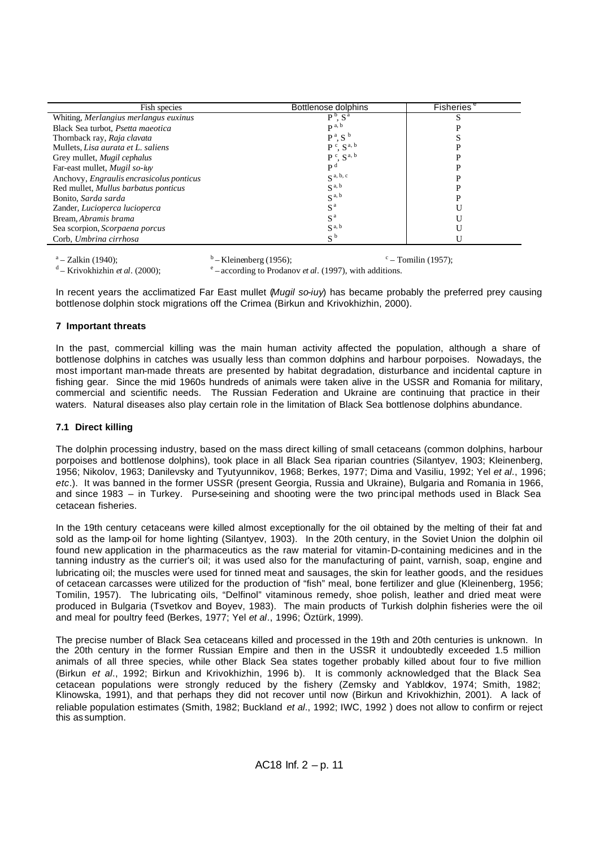| Fish species                             | Bottlenose dolphins    | <b>Fisheries</b> |
|------------------------------------------|------------------------|------------------|
| Whiting, Merlangius merlangus euxinus    | $P^b$ , $S^a$          |                  |
| Black Sea turbot, Psetta maeotica        | $\mathbf{p}$ a, b      |                  |
| Thornback ray, Raja clavata              | $P^a$ , S <sup>b</sup> |                  |
| Mullets, Lisa aurata et L. saliens       | $P^c$ , $S^{a, b}$     |                  |
| Grey mullet, Mugil cephalus              | $P^c$ , $S^{a, b}$     |                  |
| Far-east mullet, Mugil so-inv            | P <sup>d</sup>         |                  |
| Anchovy, Engraulis encrasicolus ponticus | $S^{a, b, c}$          |                  |
| Red mullet, Mullus barbatus ponticus     | $S^{a, b}$             |                  |
| Bonito, Sarda sarda                      | $S^{a, b}$             |                  |
| Zander, Lucioperca lucioperca            | S <sup>a</sup>         |                  |
| Bream, Abramis brama                     | S <sup>a</sup>         |                  |
| Sea scorpion, Scorpaena porcus           | $S^{a, b}$             |                  |
| Corb, Umbrina cirrhosa                   | $S^{\,b}$              |                  |

 $a - Zalkin (1940);$ 

 $\text{d}$  – Krivokhizhin *et al.* (2000);

 $<sup>b</sup>$ – Kleinenberg (1956);</sup>  $\degree$  – Tomilin (1957);

– according to Prodanov *et al*. (1997), with additions.

In recent years the acclimatized Far East mullet (*Mugil so-iuy*) has became probably the preferred prey causing bottlenose dolphin stock migrations off the Crimea (Birkun and Krivokhizhin, 2000).

# **7 Important threats**

In the past, commercial killing was the main human activity affected the population, although a share of bottlenose dolphins in catches was usually less than common dolphins and harbour porpoises. Nowadays, the most important man-made threats are presented by habitat degradation, disturbance and incidental capture in fishing gear. Since the mid 1960s hundreds of animals were taken alive in the USSR and Romania for military, commercial and scientific needs. The Russian Federation and Ukraine are continuing that practice in their waters. Natural diseases also play certain role in the limitation of Black Sea bottlenose dolphins abundance.

# **7.1 Direct killing**

The dolphin processing industry, based on the mass direct killing of small cetaceans (common dolphins, harbour porpoises and bottlenose dolphins), took place in all Black Sea riparian countries (Silantyev, 1903; Kleinenberg, 1956; Nikolov, 1963; Danilevsky and Tyutyunnikov, 1968; Berkes, 1977; Dima and Vasiliu, 1992; Yel *et al*., 1996; *etc*.). It was banned in the former USSR (present Georgia, Russia and Ukraine), Bulgaria and Romania in 1966, and since 1983 – in Turkey. Purse-seining and shooting were the two principal methods used in Black Sea cetacean fisheries.

In the 19th century cetaceans were killed almost exceptionally for the oil obtained by the melting of their fat and sold as the lamp-oil for home lighting (Silantyev, 1903). In the 20th century, in the Soviet Union the dolphin oil found new application in the pharmaceutics as the raw material for vitamin-D-containing medicines and in the tanning industry as the currier's oil; it was used also for the manufacturing of paint, varnish, soap, engine and lubricating oil; the muscles were used for tinned meat and sausages, the skin for leather goods, and the residues of cetacean carcasses were utilized for the production of "fish" meal, bone fertilizer and glue (Kleinenberg, 1956; Tomilin, 1957). The lubricating oils, "Delfinol" vitaminous remedy, shoe polish, leather and dried meat were produced in Bulgaria (Tsvetkov and Boyev, 1983). The main products of Turkish dolphin fisheries were the oil and meal for poultry feed (Berkes, 1977; Yel *et al*., 1996; Öztürk, 1999).

The precise number of Black Sea cetaceans killed and processed in the 19th and 20th centuries is unknown. In the 20th century in the former Russian Empire and then in the USSR it undoubtedly exceeded 1.5 million animals of all three species, while other Black Sea states together probably killed about four to five million (Birkun *et al*., 1992; Birkun and Krivokhizhin, 1996 b). It is commonly acknowledged that the Black Sea cetacean populations were strongly reduced by the fishery (Zemsky and Yablokov, 1974; Smith, 1982; Klinowska, 1991), and that perhaps they did not recover until now (Birkun and Krivokhizhin, 2001). A lack of reliable population estimates (Smith, 1982; Buckland *et al*., 1992; IWC, 1992 ) does not allow to confirm or reject this as sumption.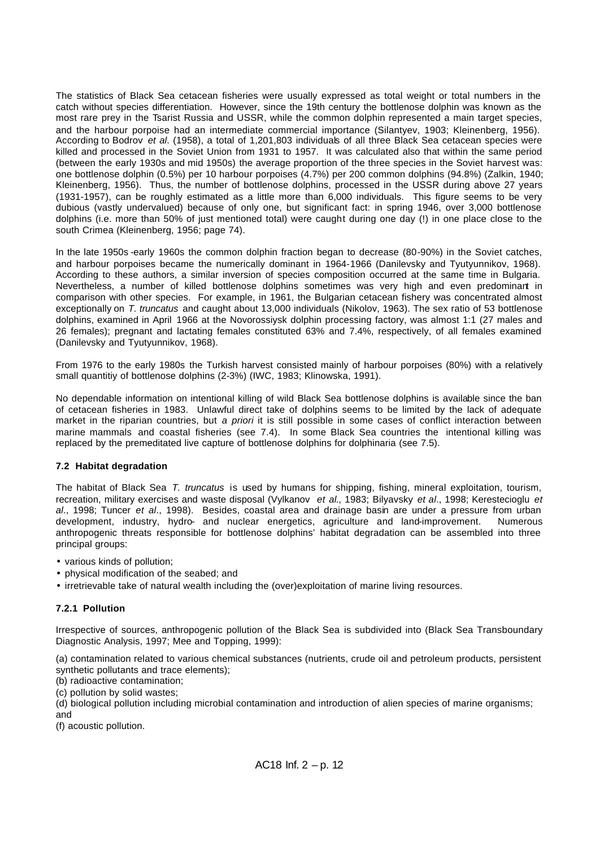The statistics of Black Sea cetacean fisheries were usually expressed as total weight or total numbers in the catch without species differentiation. However, since the 19th century the bottlenose dolphin was known as the most rare prey in the Tsarist Russia and USSR, while the common dolphin represented a main target species, and the harbour porpoise had an intermediate commercial importance (Silantyev, 1903; Kleinenberg, 1956). According to Bodrov *et al*. (1958), a total of 1,201,803 individuals of all three Black Sea cetacean species were killed and processed in the Soviet Union from 1931 to 1957. It was calculated also that within the same period (between the early 1930s and mid 1950s) the average proportion of the three species in the Soviet harvest was: one bottlenose dolphin (0.5%) per 10 harbour porpoises (4.7%) per 200 common dolphins (94.8%) (Zalkin, 1940; Kleinenberg, 1956). Thus, the number of bottlenose dolphins, processed in the USSR during above 27 years (1931-1957), can be roughly estimated as a little more than 6,000 individuals. This figure seems to be very dubious (vastly undervalued) because of only one, but significant fact: in spring 1946, over 3,000 bottlenose dolphins (i.e. more than 50% of just mentioned total) were caught during one day (!) in one place close to the south Crimea (Kleinenberg, 1956; page 74).

In the late 1950s -early 1960s the common dolphin fraction began to decrease (80-90%) in the Soviet catches, and harbour porpoises became the numerically dominant in 1964-1966 (Danilevsky and Tyutyunnikov, 1968). According to these authors, a similar inversion of species composition occurred at the same time in Bulgaria. Nevertheless, a number of killed bottlenose dolphins sometimes was very high and even predominant in comparison with other species. For example, in 1961, the Bulgarian cetacean fishery was concentrated almost exceptionally on *T. truncatus* and caught about 13,000 individuals (Nikolov, 1963). The sex ratio of 53 bottlenose dolphins, examined in April 1966 at the Novorossiysk dolphin processing factory, was almost 1:1 (27 males and 26 females); pregnant and lactating females constituted 63% and 7.4%, respectively, of all females examined (Danilevsky and Tyutyunnikov, 1968).

From 1976 to the early 1980s the Turkish harvest consisted mainly of harbour porpoises (80%) with a relatively small quantitiy of bottlenose dolphins (2-3%) (IWC, 1983; Klinowska, 1991).

No dependable information on intentional killing of wild Black Sea bottlenose dolphins is available since the ban of cetacean fisheries in 1983. Unlawful direct take of dolphins seems to be limited by the lack of adequate market in the riparian countries, but *a priori* it is still possible in some cases of conflict interaction between marine mammals and coastal fisheries (see 7.4). In some Black Sea countries the intentional killing was replaced by the premeditated live capture of bottlenose dolphins for dolphinaria (see 7.5).

#### **7.2 Habitat degradation**

The habitat of Black Sea *T. truncatus* is used by humans for shipping, fishing, mineral exploitation, tourism, recreation, military exercises and waste disposal (Vylkanov *et al*., 1983; Bilyavsky *et al*., 1998; Kerestecioglu *et al*., 1998; Tuncer *et al*., 1998). Besides, coastal area and drainage basin are under a pressure from urban development, industry, hydro- and nuclear energetics, agriculture and land-improvement. Numerous anthropogenic threats responsible for bottlenose dolphins' habitat degradation can be assembled into three principal groups:

- various kinds of pollution;
- physical modification of the seabed; and
- irretrievable take of natural wealth including the (over)exploitation of marine living resources.

# **7.2.1 Pollution**

Irrespective of sources, anthropogenic pollution of the Black Sea is subdivided into (Black Sea Transboundary Diagnostic Analysis, 1997; Mee and Topping, 1999):

(a) contamination related to various chemical substances (nutrients, crude oil and petroleum products, persistent synthetic pollutants and trace elements);

(b) radioactive contamination;

(c) pollution by solid wastes;

(d) biological pollution including microbial contamination and introduction of alien species of marine organisms; and

(f) acoustic pollution.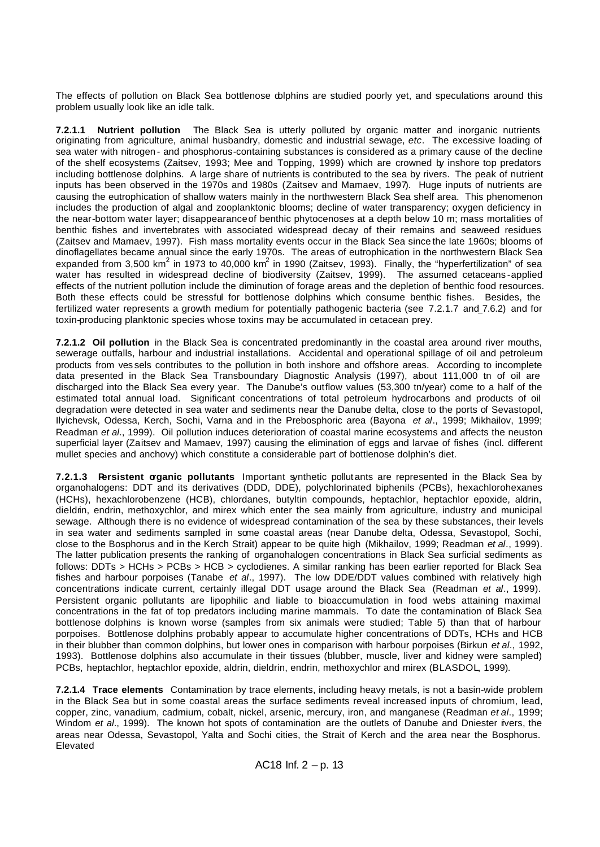The effects of pollution on Black Sea bottlenose dolphins are studied poorly yet, and speculations around this problem usually look like an idle talk.

**7.2.1.1 Nutrient pollution** The Black Sea is utterly polluted by organic matter and inorganic nutrients originating from agriculture, animal husbandry, domestic and industrial sewage, *etc*. The excessive loading of sea water with nitrogen - and phosphorus-containing substances is considered as a primary cause of the decline of the shelf ecosystems (Zaitsev, 1993; Mee and Topping, 1999) which are crowned by inshore top predators including bottlenose dolphins. A large share of nutrients is contributed to the sea by rivers. The peak of nutrient inputs has been observed in the 1970s and 1980s (Zaitsev and Mamaev, 1997). Huge inputs of nutrients are causing the eutrophication of shallow waters mainly in the northwestern Black Sea shelf area. This phenomenon includes the production of algal and zooplanktonic blooms; decline of water transparency; oxygen deficiency in the near-bottom water layer; disappearance of benthic phytocenoses at a depth below 10 m; mass mortalities of benthic fishes and invertebrates with associated widespread decay of their remains and seaweed residues (Zaitsev and Mamaev, 1997). Fish mass mortality events occur in the Black Sea since the late 1960s; blooms of dinoflagellates became annual since the early 1970s. The areas of eutrophication in the northwestern Black Sea expanded from 3,500 km<sup>2</sup> in 1973 to 40,000 km<sup>2</sup> in 1990 (Zaitsev, 1993). Finally, the "hyperfertilization" of sea water has resulted in widespread decline of biodiversity (Zaitsev, 1999). The assumed cetaceans-applied effects of the nutrient pollution include the diminution of forage areas and the depletion of benthic food resources. Both these effects could be stressful for bottlenose dolphins which consume benthic fishes. Besides, the fertilized water represents a growth medium for potentially pathogenic bacteria (see 7.2.1.7 and 7.6.2) and for toxin-producing planktonic species whose toxins may be accumulated in cetacean prey.

**7.2.1.2 Oil pollution** in the Black Sea is concentrated predominantly in the coastal area around river mouths, sewerage outfalls, harbour and industrial installations. Accidental and operational spillage of oil and petroleum products from ves sels contributes to the pollution in both inshore and offshore areas. According to incomplete data presented in the Black Sea Transboundary Diagnostic Analysis (1997), about 111,000 tn of oil are discharged into the Black Sea every year. The Danube's outflow values (53,300 tn/year) come to a half of the estimated total annual load. Significant concentrations of total petroleum hydrocarbons and products of oil degradation were detected in sea water and sediments near the Danube delta, close to the ports of Sevastopol, Ilyichevsk, Odessa, Kerch, Sochi, Varna and in the Prebosphoric area (Bayona *et al*., 1999; Mikhailov, 1999; Readman *et al*., 1999). Oil pollution induces deterioration of coastal marine ecosystems and affects the neuston superficial layer (Zaitsev and Mamaev, 1997) causing the elimination of eggs and larvae of fishes (incl. different mullet species and anchovy) which constitute a considerable part of bottlenose dolphin's diet.

**7.2.1.3 Persistent organic pollutants** Important synthetic pollut ants are represented in the Black Sea by organohalogens: DDT and its derivatives (DDD, DDE), polychlorinated biphenils (PCBs), hexachlorohexanes (HCHs), hexachlorobenzene (HCB), chlordanes, butyltin compounds, heptachlor, heptachlor epoxide, aldrin, dieldrin, endrin, methoxychlor, and mirex which enter the sea mainly from agriculture, industry and municipal sewage. Although there is no evidence of widespread contamination of the sea by these substances, their levels in sea water and sediments sampled in some coastal areas (near Danube delta, Odessa, Sevastopol, Sochi, close to the Bosphorus and in the Kerch Strait) appear to be quite high (Mikhailov, 1999; Readman *et al*., 1999). The latter publication presents the ranking of organohalogen concentrations in Black Sea surficial sediments as follows: DDTs > HCHs > PCBs > HCB > cyclodienes. A similar ranking has been earlier reported for Black Sea fishes and harbour porpoises (Tanabe *et al*., 1997). The low DDE/DDT values combined with relatively high concentrations indicate current, certainly illegal DDT usage around the Black Sea (Readman *et al*., 1999). Persistent organic pollutants are lipophilic and liable to bioaccumulation in food webs attaining maximal concentrations in the fat of top predators including marine mammals. To date the contamination of Black Sea bottlenose dolphins is known worse (samples from six animals were studied; Table 5) than that of harbour porpoises. Bottlenose dolphins probably appear to accumulate higher concentrations of DDTs, HCHs and HCB in their blubber than common dolphins, but lower ones in comparison with harbour porpoises (Birkun *et al*., 1992, 1993). Bottlenose dolphins also accumulate in their tissues (blubber, muscle, liver and kidney were sampled) PCBs, heptachlor, heptachlor epoxide, aldrin, dieldrin, endrin, methoxychlor and mirex (BLASDOL, 1999).

**7.2.1.4 Trace elements** Contamination by trace elements, including heavy metals, is not a basin-wide problem in the Black Sea but in some coastal areas the surface sediments reveal increased inputs of chromium, lead, copper, zinc, vanadium, cadmium, cobalt, nickel, arsenic, mercury, iron, and manganese (Readman *et al*., 1999; Windom *et al*., 1999). The known hot spots of contamination are the outlets of Danube and Dniester rivers, the areas near Odessa, Sevastopol, Yalta and Sochi cities, the Strait of Kerch and the area near the Bosphorus. Elevated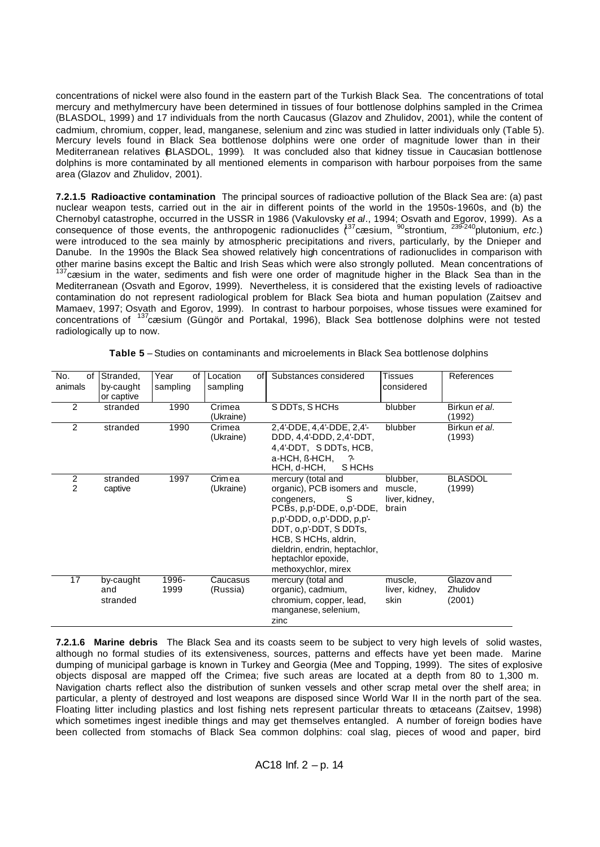concentrations of nickel were also found in the eastern part of the Turkish Black Sea. The concentrations of total mercury and methylmercury have been determined in tissues of four bottlenose dolphins sampled in the Crimea (BLASDOL, 1999) and 17 individuals from the north Caucasus (Glazov and Zhulidov, 2001), while the content of cadmium, chromium, copper, lead, manganese, selenium and zinc was studied in latter individuals only (Table 5). Mercury levels found in Black Sea bottlenose dolphins were one order of magnitude lower than in their Mediterranean relatives BLASDOL, 1999). It was concluded also that kidney tissue in Caucasian bottlenose dolphins is more contaminated by all mentioned elements in comparison with harbour porpoises from the same area (Glazov and Zhulidov, 2001).

**7.2.1.5 Radioactive contamination** The principal sources of radioactive pollution of the Black Sea are: (a) past nuclear weapon tests, carried out in the air in different points of the world in the 1950s-1960s, and (b) the Chernobyl catastrophe, occurred in the USSR in 1986 (Vakulovsky *et al*., 1994; Osvath and Egorov, 1999). As a consequence of those events, the anthropogenic radionuclides (<sup>37</sup>cæsium, <sup>90</sup>strontium, <sup>239-240</sup>plutonium, *etc.*) were introduced to the sea mainly by atmospheric precipitations and rivers, particularly, by the Dnieper and Danube. In the 1990s the Black Sea showed relatively high concentrations of radionuclides in comparison with other marine basins except the Baltic and Irish Seas which were also strongly polluted. Mean concentrations of  $137$ cæsium in the water, sediments and fish were one order of magnitude higher in the Black Sea than in the Mediterranean (Osvath and Egorov, 1999). Nevertheless, it is considered that the existing levels of radioactive contamination do not represent radiological problem for Black Sea biota and human population (Zaitsev and Mamaev, 1997; Osvath and Egorov, 1999). In contrast to harbour porpoises, whose tissues were examined for concentrations of <sup>137</sup>cæsium (Güngör and Portakal, 1996), Black Sea bottlenose dolphins were not tested radiologically up to now.

| No.<br>οf<br>animals | Stranded,<br>by-caught<br>or captive | Year<br>οf<br>sampling | Location<br>sampling | Substances considered<br>οf                                                                                                                                                                                                                                               | <b>Tissues</b><br>considered                   | References                       |
|----------------------|--------------------------------------|------------------------|----------------------|---------------------------------------------------------------------------------------------------------------------------------------------------------------------------------------------------------------------------------------------------------------------------|------------------------------------------------|----------------------------------|
| 2                    | stranded                             | 1990                   | Crimea<br>(Ukraine)  | S DDTs, SHCHs                                                                                                                                                                                                                                                             | blubber                                        | Birkun et al.<br>(1992)          |
| 2                    | stranded                             | 1990                   | Crimea<br>(Ukraine)  | 2,4'-DDE, 4,4'-DDE, 2,4'-<br>DDD, 4,4'-DDD, 2,4'-DDT,<br>4,4'-DDT, SDDTs, HCB,<br>a-HCH. ß-HCH.<br>-?-<br>HCH, d-HCH,<br>S HCH <sub>s</sub>                                                                                                                               | blubber                                        | Birkun et al.<br>(1993)          |
| 2<br>$\overline{2}$  | stranded<br>captive                  | 1997                   | Crimea<br>(Ukraine)  | mercury (total and<br>organic), PCB isomers and<br>congeners,<br>S<br>PCBs, p,p'-DDE, o,p'-DDE,<br>$p, p'$ -DDD, $o, p'$ -DDD, $p, p'$ -<br>DDT, o,p'-DDT, S DDTs,<br>HCB, S HCHs, aldrin,<br>dieldrin, endrin, heptachlor,<br>heptachlor epoxide,<br>methoxychlor, mirex | blubber,<br>muscle,<br>liver, kidney,<br>brain | <b>BLASDOL</b><br>(1999)         |
| 17                   | by-caught<br>and<br>stranded         | 1996-<br>1999          | Caucasus<br>(Russia) | mercury (total and<br>organic), cadmium,<br>chromium, copper, lead,<br>manganese, selenium,<br>zinc                                                                                                                                                                       | muscle,<br>liver, kidney,<br>skin              | Glazov and<br>Zhulidov<br>(2001) |

**Table 5** – Studies on contaminants and microelements in Black Sea bottlenose dolphins

**7.2.1.6 Marine debris** The Black Sea and its coasts seem to be subject to very high levels of solid wastes, although no formal studies of its extensiveness, sources, patterns and effects have yet been made. Marine dumping of municipal garbage is known in Turkey and Georgia (Mee and Topping, 1999). The sites of explosive objects disposal are mapped off the Crimea; five such areas are located at a depth from 80 to 1,300 m. Navigation charts reflect also the distribution of sunken vessels and other scrap metal over the shelf area; in particular, a plenty of destroyed and lost weapons are disposed since World War II in the north part of the sea. Floating litter including plastics and lost fishing nets represent particular threats to œtaceans (Zaitsev, 1998) which sometimes ingest inedible things and may get themselves entangled. A number of foreign bodies have been collected from stomachs of Black Sea common dolphins: coal slag, pieces of wood and paper, bird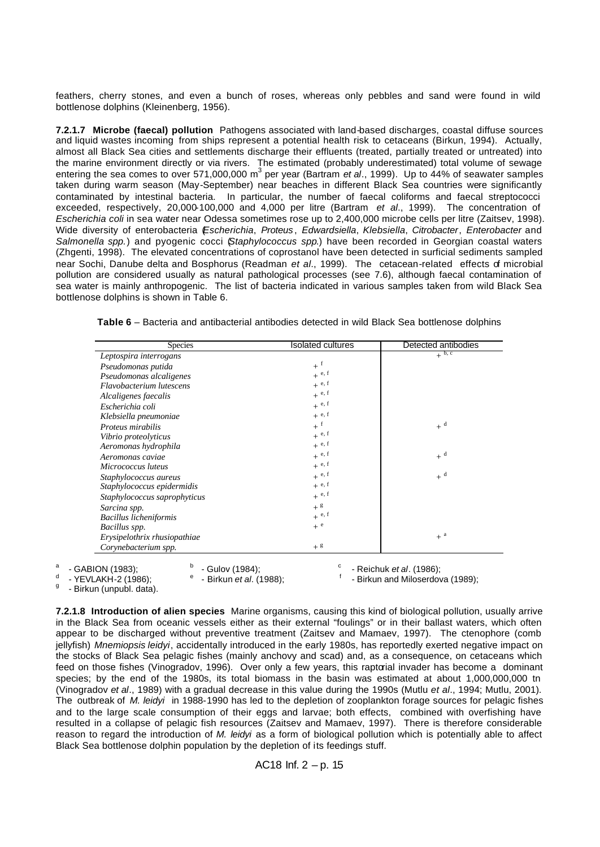feathers, cherry stones, and even a bunch of roses, whereas only pebbles and sand were found in wild bottlenose dolphins (Kleinenberg, 1956).

**7.2.1.7 Microbe (faecal) pollution** Pathogens associated with land-based discharges, coastal diffuse sources and liquid wastes incoming from ships represent a potential health risk to cetaceans (Birkun, 1994). Actually, almost all Black Sea cities and settlements discharge their effluents (treated, partially treated or untreated) into the marine environment directly or via rivers. The estimated (probably underestimated) total volume of sewage entering the sea comes to over 571,000,000 m<sup>3</sup> per year (Bartram *et al.*, 1999). Up to 44% of seawater samples taken during warm season (May-September) near beaches in different Black Sea countries were significantly contaminated by intestinal bacteria. In particular, the number of faecal coliforms and faecal streptococci exceeded, respectively, 20,000-100,000 and 4,000 per litre (Bartram *et al*., 1999). The concentration of *Escherichia coli* in sea water near Odessa sometimes rose up to 2,400,000 microbe cells per litre (Zaitsev, 1998). Wide diversity of enterobacteria (*Escherichia*, *Proteus* , *Edwardsiella*, *Klebsiella*, *Citrobacter*, *Enterobacter* and *Salmonella spp.*) and pyogenic cocci (*Staphylococcus spp*.) have been recorded in Georgian coastal waters (Zhgenti, 1998). The elevated concentrations of coprostanol have been detected in surficial sediments sampled near Sochi, Danube delta and Bosphorus (Readman *et al*., 1999). The cetacean-related effects of microbial pollution are considered usually as natural pathological processes (see 7.6), although faecal contamination of sea water is mainly anthropogenic. The list of bacteria indicated in various samples taken from wild Black Sea bottlenose dolphins is shown in Table 6.

**Table 6** – Bacteria and antibacterial antibodies detected in wild Black Sea bottlenose dolphins

| <b>Species</b>               | <b>Isolated cultures</b> | Detected antibodies |
|------------------------------|--------------------------|---------------------|
| Leptospira interrogans       |                          | $+$ <sup>b, c</sup> |
| Pseudomonas putida           | $+$ <sup>f</sup>         |                     |
| Pseudomonas alcaligenes      | $+$ e, f                 |                     |
| Flavobacterium lutescens     | $+$ e, f                 |                     |
| Alcaligenes faecalis         | $+$ e, f                 |                     |
| Escherichia coli             | $+$ e, f                 |                     |
| Klebsiella pneumoniae        | $+$ e, f                 |                     |
| Proteus mirabilis            | $+$ <sup>f</sup>         | $+$ <sup>d</sup>    |
| Vibrio proteolyticus         | $+$ e, f                 |                     |
| Aeromonas hydrophila         | $+$ e, f                 |                     |
| Aeromonas caviae             | $+$ e, f                 | $+$ <sup>d</sup>    |
| Micrococcus luteus           | $+$ e, f                 |                     |
| Staphylococcus aureus        | $+$ e, f                 | $+$ <sup>d</sup>    |
| Staphylococcus epidermidis   | $+$ e, f                 |                     |
| Staphylococcus saprophyticus | $+$ e, f                 |                     |
| Sarcina spp.                 | $+$ g                    |                     |
| Bacillus licheniformis       | $+$ e, f                 |                     |
| Bacillus spp.                | $+$ <sup>e</sup>         |                     |
| Erysipelothrix rhusiopathiae |                          | $+$ <sup>a</sup>    |
| Corynebacterium spp.         | $+$ <sup>g</sup>         |                     |

a - GABION (1983); b d

- Gulov (1984); <sup>e</sup> - Birkun *et al.* (1988); <sup>c</sup> - Reichuk *et al.* (1986); - Birkun and Miloserdova (1989);

- YEVLAKH-2 (1986):

g - Birkun (unpubl. data).

**7.2.1.8 Introduction of alien species** Marine organisms, causing this kind of biological pollution, usually arrive in the Black Sea from oceanic vessels either as their external "foulings" or in their ballast waters, which often appear to be discharged without preventive treatment (Zaitsev and Mamaev, 1997). The ctenophore (comb jellyfish) *Mnemiopsis leidyi*, accidentally introduced in the early 1980s, has reportedly exerted negative impact on the stocks of Black Sea pelagic fishes (mainly anchovy and scad) and, as a consequence, on cetaceans which feed on those fishes (Vinogradov, 1996). Over only a few years, this raptorial invader has become a dominant species; by the end of the 1980s, its total biomass in the basin was estimated at about 1,000,000,000 tn (Vinogradov *et al*., 1989) with a gradual decrease in this value during the 1990s (Mutlu *et al*., 1994; Mutlu, 2001). The outbreak of *M. leidyi* in 1988-1990 has led to the depletion of zooplankton forage sources for pelagic fishes and to the large scale consumption of their eggs and larvae; both effects, combined with overfishing have resulted in a collapse of pelagic fish resources (Zaitsev and Mamaev, 1997). There is therefore considerable reason to regard the introduction of *M. leidyi* as a form of biological pollution which is potentially able to affect Black Sea bottlenose dolphin population by the depletion of its feedings stuff.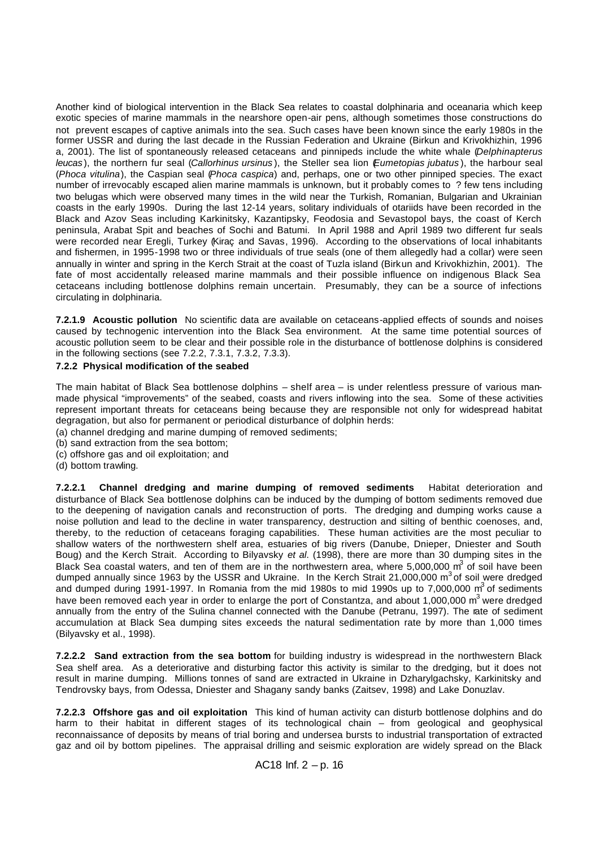Another kind of biological intervention in the Black Sea relates to coastal dolphinaria and oceanaria which keep exotic species of marine mammals in the nearshore open-air pens, although sometimes those constructions do not prevent escapes of captive animals into the sea. Such cases have been known since the early 1980s in the former USSR and during the last decade in the Russian Federation and Ukraine (Birkun and Krivokhizhin, 1996 a, 2001). The list of spontaneously released cetaceans and pinnipeds include the white whale (*Delphinapterus leucas* ), the northern fur seal (*Callorhinus ursinus* ), the Steller sea lion (*Eumetopias jubatus* ), the harbour seal (*Phoca vitulina*), the Caspian seal (*Phoca caspica*) and, perhaps, one or two other pinniped species. The exact number of irrevocably escaped alien marine mammals is unknown, but it probably comes to ? few tens including two belugas which were observed many times in the wild near the Turkish, Romanian, Bulgarian and Ukrainian coasts in the early 1990s. During the last 12-14 years, solitary individuals of otariids have been recorded in the Black and Azov Seas including Karkinitsky, Kazantipsky, Feodosia and Sevastopol bays, the coast of Kerch peninsula, Arabat Spit and beaches of Sochi and Batumi. In April 1988 and April 1989 two different fur seals were recorded near Eregli, Turkey (Kiraç and Savas, 1996). According to the observations of local inhabitants and fishermen, in 1995-1998 two or three individuals of true seals (one of them allegedly had a collar) were seen annually in winter and spring in the Kerch Strait at the coast of Tuzla island (Birkun and Krivokhizhin, 2001). The fate of most accidentally released marine mammals and their possible influence on indigenous Black Sea cetaceans including bottlenose dolphins remain uncertain. Presumably, they can be a source of infections circulating in dolphinaria.

**7.2.1.9 Acoustic pollution** No scientific data are available on cetaceans-applied effects of sounds and noises caused by technogenic intervention into the Black Sea environment. At the same time potential sources of acoustic pollution seem to be clear and their possible role in the disturbance of bottlenose dolphins is considered in the following sections (see 7.2.2, 7.3.1, 7.3.2, 7.3.3).

#### **7.2.2 Physical modification of the seabed**

The main habitat of Black Sea bottlenose dolphins – shelf area – is under relentless pressure of various manmade physical "improvements" of the seabed, coasts and rivers inflowing into the sea. Some of these activities represent important threats for cetaceans being because they are responsible not only for widespread habitat degragation, but also for permanent or periodical disturbance of dolphin herds:

- (a) channel dredging and marine dumping of removed sediments;
- (b) sand extraction from the sea bottom;
- (c) offshore gas and oil exploitation; and
- (d) bottom trawling.

**7.2.2.1 Channel dredging and marine dumping of removed sediments** Habitat deterioration and disturbance of Black Sea bottlenose dolphins can be induced by the dumping of bottom sediments removed due to the deepening of navigation canals and reconstruction of ports. The dredging and dumping works cause a noise pollution and lead to the decline in water transparency, destruction and silting of benthic coenoses, and, thereby, to the reduction of cetaceans foraging capabilities. These human activities are the most peculiar to shallow waters of the northwestern shelf area, estuaries of big rivers (Danube, Dnieper, Dniester and South Boug) and the Kerch Strait. According to Bilyavsky *et al*. (1998), there are more than 30 dumping sites in the Black Sea coastal waters, and ten of them are in the northwestern area, where 5,000,000  $m^3$  of soil have been dumped annually since 1963 by the USSR and Ukraine. In the Kerch Strait 21,000,000 m<sup>3</sup> of soil were dredged and dumped during 1991-1997. In Romania from the mid 1980s to mid 1990s up to 7,000,000  $m^3$  of sediments have been removed each year in order to enlarge the port of Constantza, and about 1,000,000  $m<sup>3</sup>$  were dredged annually from the entry of the Sulina channel connected with the Danube (Petranu, 1997). The rate of sediment accumulation at Black Sea dumping sites exceeds the natural sedimentation rate by more than 1,000 times (Bilyavsky et al., 1998).

**7.2.2.2 Sand extraction from the sea bottom** for building industry is widespread in the northwestern Black Sea shelf area. As a deteriorative and disturbing factor this activity is similar to the dredging, but it does not result in marine dumping. Millions tonnes of sand are extracted in Ukraine in Dzharylgachsky, Karkinitsky and Tendrovsky bays, from Odessa, Dniester and Shagany sandy banks (Zaitsev, 1998) and Lake Donuzlav.

**7.2.2.3 Offshore gas and oil exploitation** This kind of human activity can disturb bottlenose dolphins and do harm to their habitat in different stages of its technological chain – from geological and geophysical reconnaissance of deposits by means of trial boring and undersea bursts to industrial transportation of extracted gaz and oil by bottom pipelines. The appraisal drilling and seismic exploration are widely spread on the Black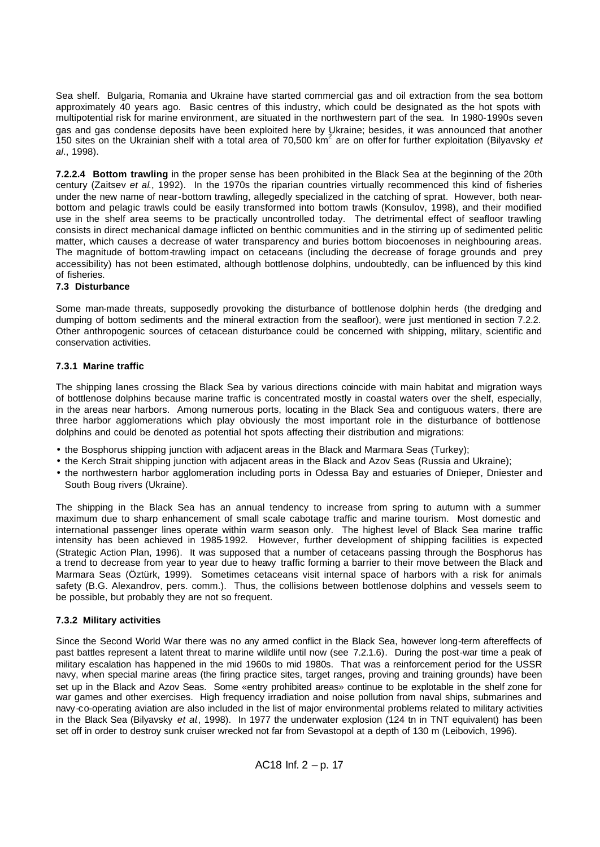Sea shelf. Bulgaria, Romania and Ukraine have started commercial gas and oil extraction from the sea bottom approximately 40 years ago. Basic centres of this industry, which could be designated as the hot spots with multipotential risk for marine environment, are situated in the northwestern part of the sea. In 1980-1990s seven gas and gas condense deposits have been exploited here by Ukraine; besides, it was announced that another<br>150 sites on the Ukrainian shelf with a total area of 70,500 km<sup>2</sup> are on offer for further exploitation (Bilyavsky *al*., 1998).

**7.2.2.4 Bottom trawling** in the proper sense has been prohibited in the Black Sea at the beginning of the 20th century (Zaitsev *et al*., 1992). In the 1970s the riparian countries virtually recommenced this kind of fisheries under the new name of near-bottom trawling, allegedly specialized in the catching of sprat. However, both nearbottom and pelagic trawls could be easily transformed into bottom trawls (Konsulov, 1998), and their modified use in the shelf area seems to be practically uncontrolled today. The detrimental effect of seafloor trawling consists in direct mechanical damage inflicted on benthic communities and in the stirring up of sedimented pelitic matter, which causes a decrease of water transparency and buries bottom biocoenoses in neighbouring areas. The magnitude of bottom-trawling impact on cetaceans (including the decrease of forage grounds and prey accessibility) has not been estimated, although bottlenose dolphins, undoubtedly, can be influenced by this kind of fisheries.

# **7.3 Disturbance**

Some man-made threats, supposedly provoking the disturbance of bottlenose dolphin herds (the dredging and dumping of bottom sediments and the mineral extraction from the seafloor), were just mentioned in section 7.2.2. Other anthropogenic sources of cetacean disturbance could be concerned with shipping, military, scientific and conservation activities.

# **7.3.1 Marine traffic**

The shipping lanes crossing the Black Sea by various directions coincide with main habitat and migration ways of bottlenose dolphins because marine traffic is concentrated mostly in coastal waters over the shelf, especially, in the areas near harbors. Among numerous ports, locating in the Black Sea and contiguous waters, there are three harbor agglomerations which play obviously the most important role in the disturbance of bottlenose dolphins and could be denoted as potential hot spots affecting their distribution and migrations:

- the Bosphorus shipping junction with adjacent areas in the Black and Marmara Seas (Turkey);
- the Kerch Strait shipping junction with adjacent areas in the Black and Azov Seas (Russia and Ukraine);
- the northwestern harbor agglomeration including ports in Odessa Bay and estuaries of Dnieper, Dniester and South Boug rivers (Ukraine).

The shipping in the Black Sea has an annual tendency to increase from spring to autumn with a summer maximum due to sharp enhancement of small scale cabotage traffic and marine tourism. Most domestic and international passenger lines operate within warm season only. The highest level of Black Sea marine traffic intensity has been achieved in 1985-1992. However, further development of shipping facilities is expected (Strategic Action Plan, 1996). It was supposed that a number of cetaceans passing through the Bosphorus has a trend to decrease from year to year due to heavy traffic forming a barrier to their move between the Black and Marmara Seas (Öztürk, 1999). Sometimes cetaceans visit internal space of harbors with a risk for animals safety (B.G. Alexandrov, pers. comm.). Thus, the collisions between bottlenose dolphins and vessels seem to be possible, but probably they are not so frequent.

# **7.3.2 Military activities**

Since the Second World War there was no any armed conflict in the Black Sea, however long-term aftereffects of past battles represent a latent threat to marine wildlife until now (see 7.2.1.6). During the post-war time a peak of military escalation has happened in the mid 1960s to mid 1980s. That was a reinforcement period for the USSR navy, when special marine areas (the firing practice sites, target ranges, proving and training grounds) have been set up in the Black and Azov Seas. Some «entry prohibited areas» continue to be explotable in the shelf zone for war games and other exercises. High frequency irradiation and noise pollution from naval ships, submarines and navy -co-operating aviation are also included in the list of major environmental problems related to military activities in the Black Sea (Bilyavsky *et al*., 1998). In 1977 the underwater explosion (124 tn in TNT equivalent) has been set off in order to destroy sunk cruiser wrecked not far from Sevastopol at a depth of 130 m (Leibovich, 1996).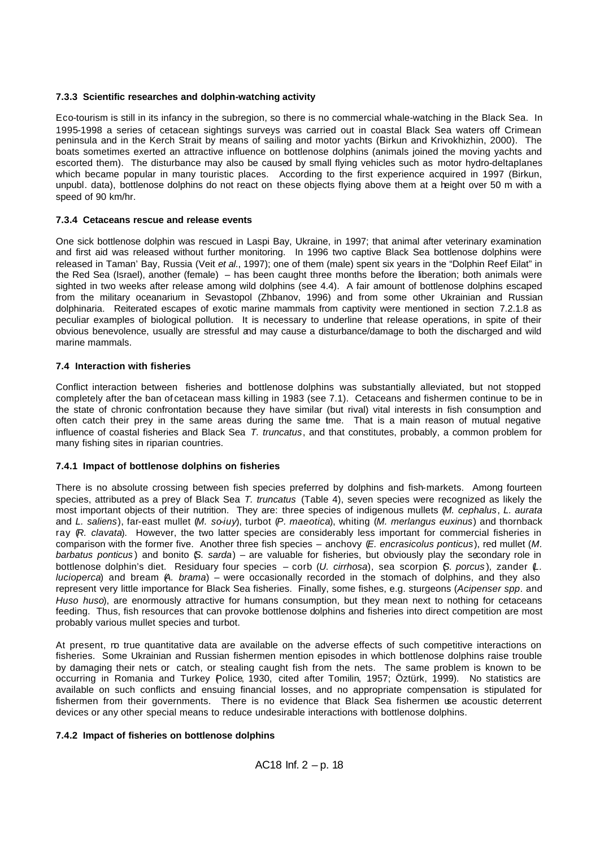# **7.3.3 Scientific researches and dolphin-watching activity**

Eco-tourism is still in its infancy in the subregion, so there is no commercial whale-watching in the Black Sea. In 1995-1998 a series of cetacean sightings surveys was carried out in coastal Black Sea waters off Crimean peninsula and in the Kerch Strait by means of sailing and motor yachts (Birkun and Krivokhizhin, 2000). The boats sometimes exerted an attractive influence on bottlenose dolphins (animals joined the moving yachts and escorted them). The disturbance may also be caused by small flying vehicles such as motor hydro-deltaplanes which became popular in many touristic places. According to the first experience acquired in 1997 (Birkun, unpubl. data), bottlenose dolphins do not react on these objects flying above them at a height over 50 m with a speed of 90 km/hr.

# **7.3.4 Cetaceans rescue and release events**

One sick bottlenose dolphin was rescued in Laspi Bay, Ukraine, in 1997; that animal after veterinary examination and first aid was released without further monitoring. In 1996 two captive Black Sea bottlenose dolphins were released in Taman' Bay, Russia (Veit *et al*., 1997); one of them (male) spent six years in the "Dolphin Reef Eilat" in the Red Sea (Israel), another (female) – has been caught three months before the liberation; both animals were sighted in two weeks after release among wild dolphins (see 4.4). A fair amount of bottlenose dolphins escaped from the military oceanarium in Sevastopol (Zhbanov, 1996) and from some other Ukrainian and Russian dolphinaria. Reiterated escapes of exotic marine mammals from captivity were mentioned in section 7.2.1.8 as peculiar examples of biological pollution. It is necessary to underline that release operations, in spite of their obvious benevolence, usually are stressful and may cause a disturbance/damage to both the discharged and wild marine mammals.

#### **7.4 Interaction with fisheries**

Conflict interaction between fisheries and bottlenose dolphins was substantially alleviated, but not stopped completely after the ban of cetacean mass killing in 1983 (see 7.1). Cetaceans and fishermen continue to be in the state of chronic confrontation because they have similar (but rival) vital interests in fish consumption and often catch their prey in the same areas during the same tme. That is a main reason of mutual negative influence of coastal fisheries and Black Sea *T. truncatus*, and that constitutes, probably, a common problem for many fishing sites in riparian countries.

#### **7.4.1 Impact of bottlenose dolphins on fisheries**

There is no absolute crossing between fish species preferred by dolphins and fish-markets. Among fourteen species, attributed as a prey of Black Sea *T. truncatus* (Table 4), seven species were recognized as likely the most important objects of their nutrition. They are: three species of indigenous mullets (*M. cephalus*, *L. aurata*  and *L. saliens*), far-east mullet (*M. so-iuy*), turbot (*P. maeotica*), whiting (*M. merlangus euxinus*) and thornback ray (*R. clavata*). However, the two latter species are considerably less important for commercial fisheries in comparison with the former five. Another three fish species – anchovy (*E. encrasicolus ponticus*), red mullet (*M. barbatus ponticus* ) and bonito (*S. sarda*) – are valuable for fisheries, but obviously play the secondary role in bottlenose dolphin's diet. Residuary four species – corb (*U. cirrhosa*), sea scorpion (*S. porcus* ), zander (*L. lucioperca*) and bream (*A. brama*) – were occasionally recorded in the stomach of dolphins, and they also represent very little importance for Black Sea fisheries. Finally, some fishes, e.g. sturgeons (*Acipenser spp*. and *Huso huso*), are enormously attractive for humans consumption, but they mean next to nothing for cetaceans feeding. Thus, fish resources that can provoke bottlenose dolphins and fisheries into direct competition are most probably various mullet species and turbot.

At present, no true quantitative data are available on the adverse effects of such competitive interactions on fisheries. Some Ukrainian and Russian fishermen mention episodes in which bottlenose dolphins raise trouble by damaging their nets or catch, or stealing caught fish from the nets. The same problem is known to be occurring in Romania and Turkey Police, 1930, cited after Tomilin, 1957; Öztürk, 1999). No statistics are available on such conflicts and ensuing financial losses, and no appropriate compensation is stipulated for fishermen from their governments. There is no evidence that Black Sea fishermen use acoustic deterrent devices or any other special means to reduce undesirable interactions with bottlenose dolphins.

#### **7.4.2 Impact of fisheries on bottlenose dolphins**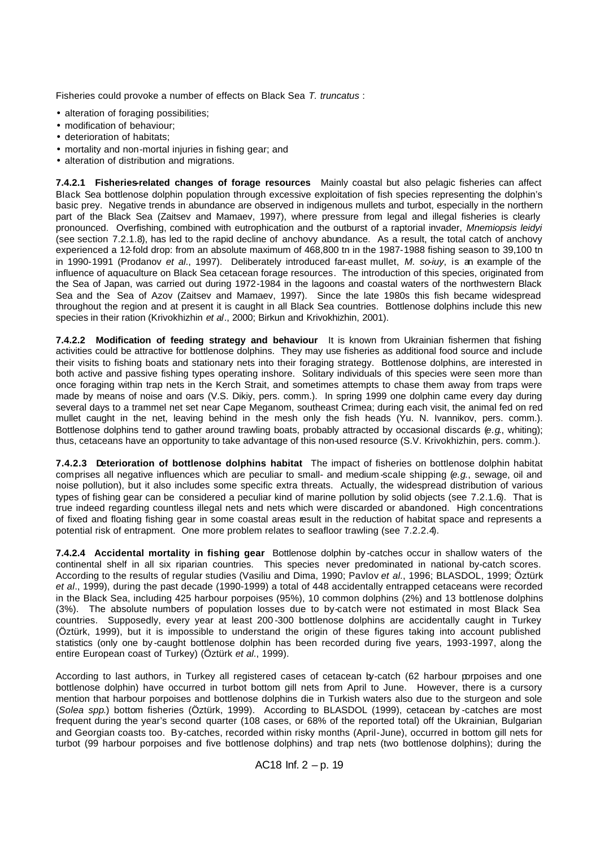Fisheries could provoke a number of effects on Black Sea *T. truncatus* :

- alteration of foraging possibilities;
- modification of behaviour;
- deterioration of habitats;
- mortality and non-mortal injuries in fishing gear; and
- alteration of distribution and migrations.

**7.4.2.1 Fisheries-related changes of forage resources** Mainly coastal but also pelagic fisheries can affect Black Sea bottlenose dolphin population through excessive exploitation of fish species representing the dolphin's basic prey. Negative trends in abundance are observed in indigenous mullets and turbot, especially in the northern part of the Black Sea (Zaitsev and Mamaev, 1997), where pressure from legal and illegal fisheries is clearly pronounced. Overfishing, combined with eutrophication and the outburst of a raptorial invader, *Mnemiopsis leidyi* (see section 7.2.1.8), has led to the rapid decline of anchovy abundance. As a result, the total catch of anchovy experienced a 12-fold drop: from an absolute maximum of 468,800 tn in the 1987-1988 fishing season to 39,100 tn in 1990-1991 (Prodanov *et al*., 1997). Deliberately introduced far-east mullet, *M. so-iuy*, is an example of the influence of aquaculture on Black Sea cetacean forage resources. The introduction of this species, originated from the Sea of Japan, was carried out during 1972-1984 in the lagoons and coastal waters of the northwestern Black Sea and the Sea of Azov (Zaitsev and Mamaev, 1997). Since the late 1980s this fish became widespread throughout the region and at present it is caught in all Black Sea countries. Bottlenose dolphins include this new species in their ration (Krivokhizhin *et al*., 2000; Birkun and Krivokhizhin, 2001).

**7.4.2.2 Modification of feeding strategy and behaviour** It is known from Ukrainian fishermen that fishing activities could be attractive for bottlenose dolphins. They may use fisheries as additional food source and include their visits to fishing boats and stationary nets into their foraging strategy. Bottlenose dolphins, are interested in both active and passive fishing types operating inshore. Solitary individuals of this species were seen more than once foraging within trap nets in the Kerch Strait, and sometimes attempts to chase them away from traps were made by means of noise and oars (V.S. Dikiy, pers. comm.). In spring 1999 one dolphin came every day during several days to a trammel net set near Cape Meganom, southeast Crimea; during each visit, the animal fed on red mullet caught in the net, leaving behind in the mesh only the fish heads (Yu. N. Ivannikov, pers. comm.). Bottlenose dolphins tend to gather around trawling boats, probably attracted by occasional discards (*e.g*., whiting); thus, cetaceans have an opportunity to take advantage of this non-used resource (S.V. Krivokhizhin, pers. comm.).

**7.4.2.3 Deterioration of bottlenose dolphins habitat** The impact of fisheries on bottlenose dolphin habitat comprises all negative influences which are peculiar to small- and medium -scale shipping (*e.g*., sewage, oil and noise pollution), but it also includes some specific extra threats. Actually, the widespread distribution of various types of fishing gear can be considered a peculiar kind of marine pollution by solid objects (see 7.2.1.6). That is true indeed regarding countless illegal nets and nets which were discarded or abandoned. High concentrations of fixed and floating fishing gear in some coastal areas result in the reduction of habitat space and represents a potential risk of entrapment. One more problem relates to seafloor trawling (see 7.2.2.4).

**7.4.2.4 Accidental mortality in fishing gear** Bottlenose dolphin by -catches occur in shallow waters of the continental shelf in all six riparian countries. This species never predominated in national by-catch scores. According to the results of regular studies (Vasiliu and Dima, 1990; Pavlov *et al*., 1996; BLASDOL, 1999; Öztürk *et al*., 1999), during the past decade (1990-1999) a total of 448 accidentally entrapped cetaceans were recorded in the Black Sea, including 425 harbour porpoises (95%), 10 common dolphins (2%) and 13 bottlenose dolphins (3%). The absolute numbers of population losses due to by-catch were not estimated in most Black Sea countries. Supposedly, every year at least 200 -300 bottlenose dolphins are accidentally caught in Turkey (Öztürk, 1999), but it is impossible to understand the origin of these figures taking into account published statistics (only one by -caught bottlenose dolphin has been recorded during five years, 1993-1997, along the entire European coast of Turkey) (Öztürk *et al*., 1999).

According to last authors, in Turkey all registered cases of cetacean by-catch (62 harbour porpoises and one bottlenose dolphin) have occurred in turbot bottom gill nets from April to June. However, there is a cursory mention that harbour porpoises and bottlenose dolphins die in Turkish waters also due to the sturgeon and sole (*Solea spp*.) bottom fisheries (Öztürk, 1999). According to BLASDOL (1999), cetacean by -catches are most frequent during the year's second quarter (108 cases, or 68% of the reported total) off the Ukrainian, Bulgarian and Georgian coasts too. By-catches, recorded within risky months (April-June), occurred in bottom gill nets for turbot (99 harbour porpoises and five bottlenose dolphins) and trap nets (two bottlenose dolphins); during the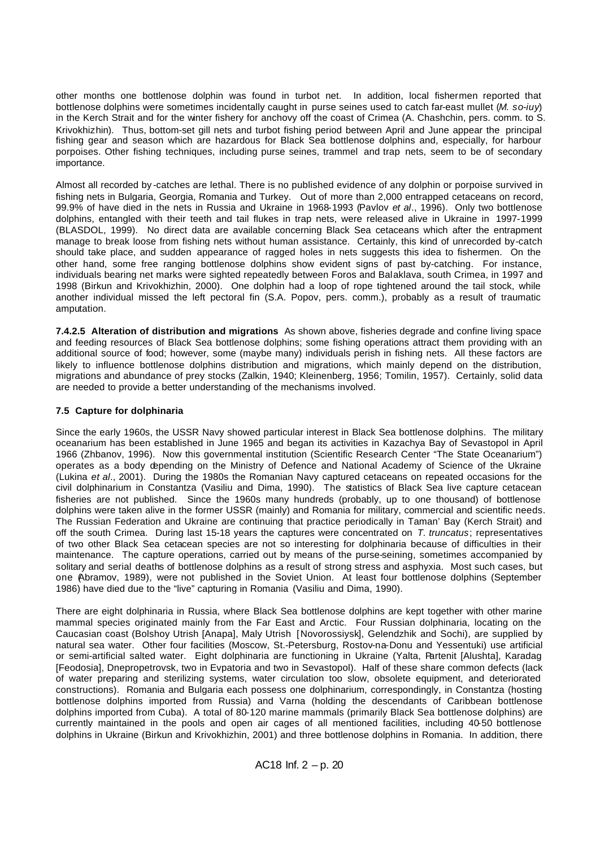other months one bottlenose dolphin was found in turbot net. In addition, local fishermen reported that bottlenose dolphins were sometimes incidentally caught in purse seines used to catch far-east mullet (*M. so-iuy*) in the Kerch Strait and for the winter fishery for anchovy off the coast of Crimea (A. Chashchin, pers. comm. to S. Krivokhizhin). Thus, bottom-set gill nets and turbot fishing period between April and June appear the principal fishing gear and season which are hazardous for Black Sea bottlenose dolphins and, especially, for harbour porpoises. Other fishing techniques, including purse seines, trammel and trap nets, seem to be of secondary importance.

Almost all recorded by -catches are lethal. There is no published evidence of any dolphin or porpoise survived in fishing nets in Bulgaria, Georgia, Romania and Turkey. Out of more than 2,000 entrapped cetaceans on record, 99.9% of have died in the nets in Russia and Ukraine in 1968-1993 (Pavlov *et al*., 1996). Only two bottlenose dolphins, entangled with their teeth and tail flukes in trap nets, were released alive in Ukraine in 1997-1999 (BLASDOL, 1999). No direct data are available concerning Black Sea cetaceans which after the entrapment manage to break loose from fishing nets without human assistance. Certainly, this kind of unrecorded by-catch should take place, and sudden appearance of ragged holes in nets suggests this idea to fishermen. On the other hand, some free ranging bottlenose dolphins show evident signs of past by-catching. For instance, individuals bearing net marks were sighted repeatedly between Foros and Balaklava, south Crimea, in 1997 and 1998 (Birkun and Krivokhizhin, 2000). One dolphin had a loop of rope tightened around the tail stock, while another individual missed the left pectoral fin (S.A. Popov, pers. comm.), probably as a result of traumatic amputation.

**7.4.2.5 Alteration of distribution and migrations** As shown above, fisheries degrade and confine living space and feeding resources of Black Sea bottlenose dolphins; some fishing operations attract them providing with an additional source of food; however, some (maybe many) individuals perish in fishing nets. All these factors are likely to influence bottlenose dolphins distribution and migrations, which mainly depend on the distribution, migrations and abundance of prey stocks (Zalkin, 1940; Kleinenberg, 1956; Tomilin, 1957). Certainly, solid data are needed to provide a better understanding of the mechanisms involved.

# **7.5 Capture for dolphinaria**

Since the early 1960s, the USSR Navy showed particular interest in Black Sea bottlenose dolphins. The military oceanarium has been established in June 1965 and began its activities in Kazachya Bay of Sevastopol in April 1966 (Zhbanov, 1996). Now this governmental institution (Scientific Research Center "The State Oceanarium") operates as a body depending on the Ministry of Defence and National Academy of Science of the Ukraine (Lukina *et al*., 2001). During the 1980s the Romanian Navy captured cetaceans on repeated occasions for the civil dolphinarium in Constantza (Vasiliu and Dima, 1990). The statistics of Black Sea live capture cetacean fisheries are not published. Since the 1960s many hundreds (probably, up to one thousand) of bottlenose dolphins were taken alive in the former USSR (mainly) and Romania for military, commercial and scientific needs. The Russian Federation and Ukraine are continuing that practice periodically in Taman' Bay (Kerch Strait) and off the south Crimea. During last 15-18 years the captures were concentrated on *T. truncatus*; representatives of two other Black Sea cetacean species are not so interesting for dolphinaria because of difficulties in their maintenance. The capture operations, carried out by means of the purse-seining, sometimes accompanied by solitary and serial deaths of bottlenose dolphins as a result of strong stress and asphyxia. Most such cases, but one (Abramov, 1989), were not published in the Soviet Union. At least four bottlenose dolphins (September 1986) have died due to the "live" capturing in Romania (Vasiliu and Dima, 1990).

There are eight dolphinaria in Russia, where Black Sea bottlenose dolphins are kept together with other marine mammal species originated mainly from the Far East and Arctic. Four Russian dolphinaria, locating on the Caucasian coast (Bolshoy Utrish [Anapa], Maly Utrish [Novorossiysk], Gelendzhik and Sochi), are supplied by natural sea water. Other four facilities (Moscow, St.-Petersburg, Rostov-na-Donu and Yessentuki) use artificial or semi-artificial salted water. Eight dolphinaria are functioning in Ukraine (Yalta, Partenit [Alushta], Karadag [Feodosia], Dnepropetrovsk, two in Evpatoria and two in Sevastopol). Half of these share common defects (lack of water preparing and sterilizing systems, water circulation too slow, obsolete equipment, and deteriorated constructions). Romania and Bulgaria each possess one dolphinarium, correspondingly, in Constantza (hosting bottlenose dolphins imported from Russia) and Varna (holding the descendants of Caribbean bottlenose dolphins imported from Cuba). A total of 80-120 marine mammals (primarily Black Sea bottlenose dolphins) are currently maintained in the pools and open air cages of all mentioned facilities, including 40-50 bottlenose dolphins in Ukraine (Birkun and Krivokhizhin, 2001) and three bottlenose dolphins in Romania. In addition, there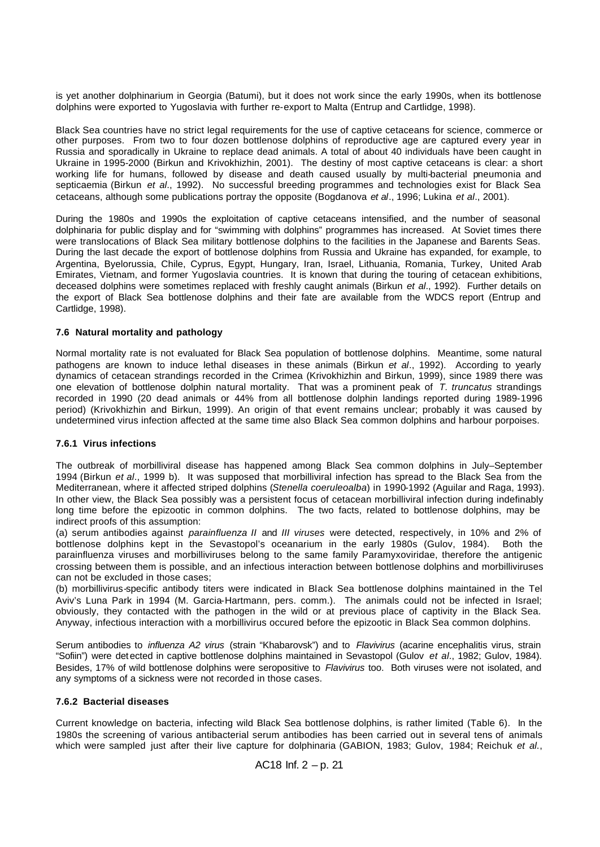is yet another dolphinarium in Georgia (Batumi), but it does not work since the early 1990s, when its bottlenose dolphins were exported to Yugoslavia with further re-export to Malta (Entrup and Cartlidge, 1998).

Black Sea countries have no strict legal requirements for the use of captive cetaceans for science, commerce or other purposes. From two to four dozen bottlenose dolphins of reproductive age are captured every year in Russia and sporadically in Ukraine to replace dead animals. A total of about 40 individuals have been caught in Ukraine in 1995-2000 (Birkun and Krivokhizhin, 2001). The destiny of most captive cetaceans is clear: a short working life for humans, followed by disease and death caused usually by multi-bacterial pneumonia and septicaemia (Birkun *et al*., 1992). No successful breeding programmes and technologies exist for Black Sea cetaceans, although some publications portray the opposite (Bogdanova *et al*., 1996; Lukina *et al*., 2001).

During the 1980s and 1990s the exploitation of captive cetaceans intensified, and the number of seasonal dolphinaria for public display and for "swimming with dolphins" programmes has increased. At Soviet times there were translocations of Black Sea military bottlenose dolphins to the facilities in the Japanese and Barents Seas. During the last decade the export of bottlenose dolphins from Russia and Ukraine has expanded, for example, to Argentina, Byelorussia, Chile, Cyprus, Egypt, Hungary, Iran, Israel, Lithuania, Romania, Turkey, United Arab Emirates, Vietnam, and former Yugoslavia countries. It is known that during the touring of cetacean exhibitions, deceased dolphins were sometimes replaced with freshly caught animals (Birkun *et al*., 1992). Further details on the export of Black Sea bottlenose dolphins and their fate are available from the WDCS report (Entrup and Cartlidge, 1998).

# **7.6 Natural mortality and pathology**

Normal mortality rate is not evaluated for Black Sea population of bottlenose dolphins. Meantime, some natural pathogens are known to induce lethal diseases in these animals (Birkun *et al*., 1992). According to yearly dynamics of cetacean strandings recorded in the Crimea (Krivokhizhin and Birkun, 1999), since 1989 there was one elevation of bottlenose dolphin natural mortality. That was a prominent peak of *T. truncatus* strandings recorded in 1990 (20 dead animals or 44% from all bottlenose dolphin landings reported during 1989-1996 period) (Krivokhizhin and Birkun, 1999). An origin of that event remains unclear; probably it was caused by undetermined virus infection affected at the same time also Black Sea common dolphins and harbour porpoises.

#### **7.6.1 Virus infections**

The outbreak of morbilliviral disease has happened among Black Sea common dolphins in July–September 1994 (Birkun *et al*., 1999 b). It was supposed that morbilliviral infection has spread to the Black Sea from the Mediterranean, where it affected striped dolphins (*Stenella coeruleoalba*) in 1990-1992 (Aguilar and Raga, 1993). In other view, the Black Sea possibly was a persistent focus of cetacean morbilliviral infection during indefinably long time before the epizootic in common dolphins. The two facts, related to bottlenose dolphins, may be indirect proofs of this assumption:

(a) serum antibodies against *parainfluenza II* and *III viruses* were detected, respectively, in 10% and 2% of bottlenose dolphins kept in the Sevastopol's oceanarium in the early 1980s (Gulov, 1984). Both the parainfluenza viruses and morbilliviruses belong to the same family Paramyxoviridae, therefore the antigenic crossing between them is possible, and an infectious interaction between bottlenose dolphins and morbilliviruses can not be excluded in those cases;

(b) morbillivirus-specific antibody titers were indicated in Black Sea bottlenose dolphins maintained in the Tel Aviv's Luna Park in 1994 (M. Garcia-Hartmann, pers. comm.). The animals could not be infected in Israel; obviously, they contacted with the pathogen in the wild or at previous place of captivity in the Black Sea. Anyway, infectious interaction with a morbillivirus occured before the epizootic in Black Sea common dolphins.

Serum antibodies to *influenza A2 virus* (strain "Khabarovsk") and to *Flavivirus* (acarine encephalitis virus, strain "Sofiin") were det ected in captive bottlenose dolphins maintained in Sevastopol (Gulov *et al*., 1982; Gulov, 1984). Besides, 17% of wild bottlenose dolphins were seropositive to *Flavivirus* too. Both viruses were not isolated, and any symptoms of a sickness were not recorded in those cases.

#### **7.6.2 Bacterial diseases**

Current knowledge on bacteria, infecting wild Black Sea bottlenose dolphins, is rather limited (Table 6). In the 1980s the screening of various antibacterial serum antibodies has been carried out in several tens of animals which were sampled just after their live capture for dolphinaria (GABION, 1983; Gulov, 1984; Reichuk *et al*.,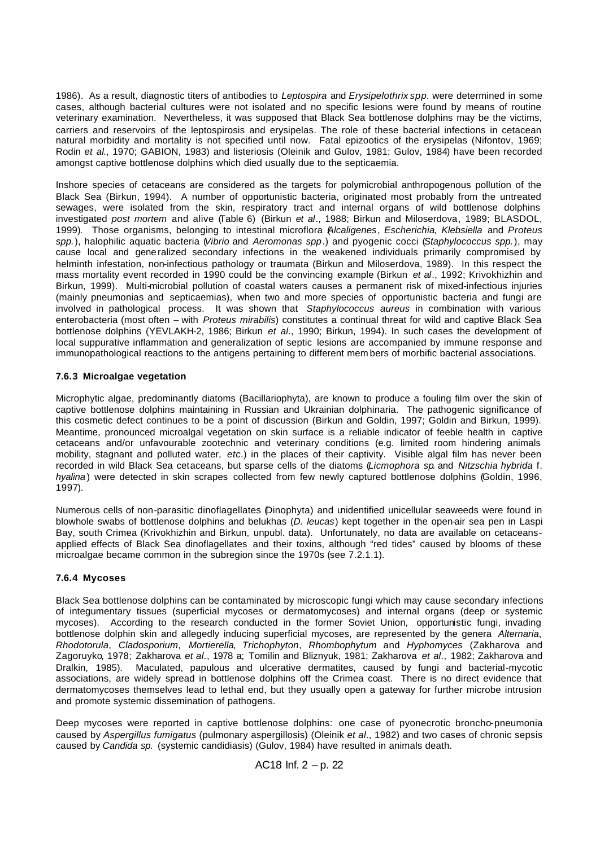1986). As a result, diagnostic titers of antibodies to *Leptospira* and *Erysipelothrix spp*. were determined in some cases, although bacterial cultures were not isolated and no specific lesions were found by means of routine veterinary examination. Nevertheless, it was supposed that Black Sea bottlenose dolphins may be the victims, carriers and reservoirs of the leptospirosis and erysipelas. The role of these bacterial infections in cetacean natural morbidity and mortality is not specified until now. Fatal epizootics of the erysipelas (Nifontov, 1969; Rodin *et al*., 1970; GABION, 1983) and listeriosis (Oleinik and Gulov, 1981; Gulov, 1984) have been recorded amongst captive bottlenose dolphins which died usually due to the septicaemia.

Inshore species of cetaceans are considered as the targets for polymicrobial anthropogenous pollution of the Black Sea (Birkun, 1994). A number of opportunistic bacteria, originated most probably from the untreated sewages, were isolated from the skin, respiratory tract and internal organs of wild bottlenose dolphins investigated *post mortem* and alive (Table 6) (Birkun *et al*., 1988; Birkun and Miloserdova, 1989; BLASDOL, 1999). Those organisms, belonging to intestinal microflora (*Alcaligenes*, *Escherichia*, *Klebsiella* and *Proteus spp.*), halophilic aquatic bacteria (*Vibrio* and *Aeromonas spp*.) and pyogenic cocci (*Staphylococcus spp.*), may cause local and gene ralized secondary infections in the weakened individuals primarily compromised by helminth infestation, non-infectious pathology or traumata (Birkun and Miloserdova, 1989). In this respect the mass mortality event recorded in 1990 could be the convincing example (Birkun *et al*., 1992; Krivokhizhin and Birkun, 1999). Multi-microbial pollution of coastal waters causes a permanent risk of mixed-infectious injuries (mainly pneumonias and septicaemias), when two and more species of opportunistic bacteria and fungi are involved in pathological process. It was shown that *Staphylococcus aureus* in combination with various enterobacteria (most often – with *Proteus mirabilis*) constitutes a continual threat for wild and captive Black Sea bottlenose dolphins (YEVLAKH-2, 1986; Birkun *et al*., 1990; Birkun, 1994). In such cases the development of local suppurative inflammation and generalization of septic lesions are accompanied by immune response and immunopathological reactions to the antigens pertaining to different mem bers of morbific bacterial associations.

# **7.6.3 Microalgae vegetation**

Microphytic algae, predominantly diatoms (Bacillariophyta), are known to produce a fouling film over the skin of captive bottlenose dolphins maintaining in Russian and Ukrainian dolphinaria. The pathogenic significance of this cosmetic defect continues to be a point of discussion (Birkun and Goldin, 1997; Goldin and Birkun, 1999). Meantime, pronounced microalgal vegetation on skin surface is a reliable indicator of feeble health in captive cetaceans and/or unfavourable zootechnic and veterinary conditions (e.g. limited room hindering animals mobility, stagnant and polluted water, *etc*.) in the places of their captivity. Visible algal film has never been recorded in wild Black Sea cetaceans, but sparse cells of the diatoms (*Licmophora sp*. and *Nitzschia hybrida* f. *hyalina* ) were detected in skin scrapes collected from few newly captured bottlenose dolphins (Goldin, 1996, 1997).

Numerous cells of non-parasitic dinoflagellates (Dinophyta) and unidentified unicellular seaweeds were found in blowhole swabs of bottlenose dolphins and belukhas (*D. leucas*) kept together in the open-air sea pen in Laspi Bay, south Crimea (Krivokhizhin and Birkun, unpubl. data). Unfortunately, no data are available on cetaceansapplied effects of Black Sea dinoflagellates and their toxins, although "red tides" caused by blooms of these microalgae became common in the subregion since the 1970s (see 7.2.1.1).

#### **7.6.4 Mycoses**

Black Sea bottlenose dolphins can be contaminated by microscopic fungi which may cause secondary infections of integumentary tissues (superficial mycoses or dermatomycoses) and internal organs (deep or systemic mycoses). According to the research conducted in the former Soviet Union, opportunistic fungi, invading bottlenose dolphin skin and allegedly inducing superficial mycoses, are represented by the genera *Alternaria*, *Rhodotorula*, *Cladosporium*, *Mortierella*, *Trichophyton*, *Rhombophytum* and *Hyphomyces* (Zakharova and Zagoruyko, 1978; Zakharova *et al*., 1978 a; Tomilin and Bliznyuk, 1981; Zakharova *et al*., 1982; Zakharova and Dralkin, 1985). Maculated, papulous and ulcerative dermatites, caused by fungi and bacterial-mycotic associations, are widely spread in bottlenose dolphins off the Crimea coast. There is no direct evidence that dermatomycoses themselves lead to lethal end, but they usually open a gateway for further microbe intrusion and promote systemic dissemination of pathogens.

Deep mycoses were reported in captive bottlenose dolphins: one case of pyonecrotic broncho-pneumonia caused by *Aspergillus fumigatus* (pulmonary aspergillosis) (Oleinik *et al*., 1982) and two cases of chronic sepsis caused by *Candida sp.* (systemic candidiasis) (Gulov, 1984) have resulted in animals death.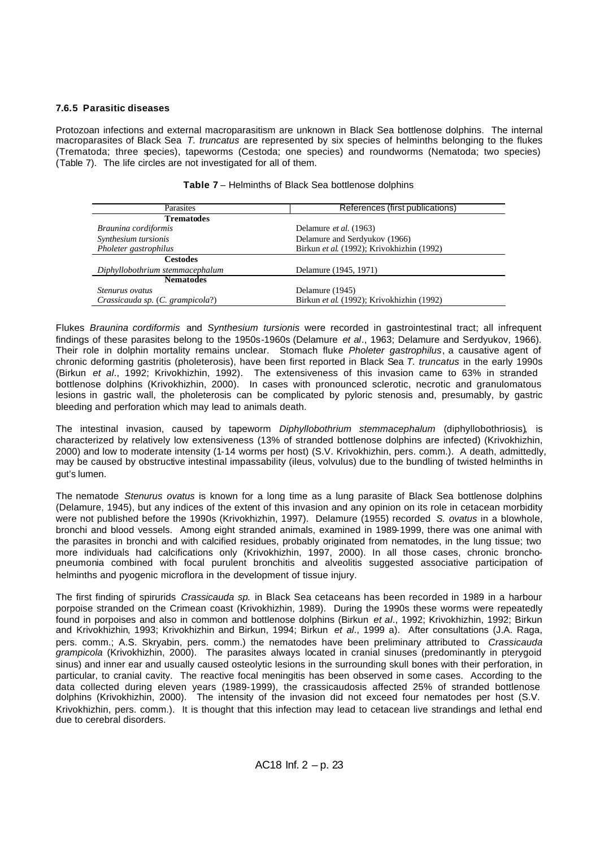# **7.6.5 Parasitic diseases**

Protozoan infections and external macroparasitism are unknown in Black Sea bottlenose dolphins. The internal macroparasites of Black Sea *T. truncatus* are represented by six species of helminths belonging to the flukes (Trematoda; three species), tapeworms (Cestoda; one species) and roundworms (Nematoda; two species) (Table 7). The life circles are not investigated for all of them.

| Parasites                        | References (first publications)           |  |  |
|----------------------------------|-------------------------------------------|--|--|
| <b>Trematodes</b>                |                                           |  |  |
| Braunina cordiformis             | Delamure et al. (1963)                    |  |  |
| Synthesium tursionis             | Delamure and Serdyukov (1966)             |  |  |
| Pholeter gastrophilus            | Birkun et al. (1992); Krivokhizhin (1992) |  |  |
| <b>Cestodes</b>                  |                                           |  |  |
| Diphyllobothrium stemmacephalum  | Delamure (1945, 1971)                     |  |  |
| <b>Nematodes</b>                 |                                           |  |  |
| <i>Stenurus ovatus</i>           | Delamure (1945)                           |  |  |
| Crassicauda sp. (C. grampicola?) | Birkun et al. (1992); Krivokhizhin (1992) |  |  |

**Table 7** – Helminths of Black Sea bottlenose dolphins

Flukes *Braunina cordiformis* and *Synthesium tursionis* were recorded in gastrointestinal tract; all infrequent findings of these parasites belong to the 1950s-1960s (Delamure *et al*., 1963; Delamure and Serdyukov, 1966). Their role in dolphin mortality remains unclear. Stomach fluke *Pholeter gastrophilus*, a causative agent of chronic deforming gastritis (pholeterosis), have been first reported in Black Sea *T. truncatus* in the early 1990s (Birkun *et al*., 1992; Krivokhizhin, 1992). The extensiveness of this invasion came to 63% in stranded bottlenose dolphins (Krivokhizhin, 2000). In cases with pronounced sclerotic, necrotic and granulomatous lesions in gastric wall, the pholeterosis can be complicated by pyloric stenosis and, presumably, by gastric bleeding and perforation which may lead to animals death.

The intestinal invasion, caused by tapeworm *Diphyllobothrium stemmacephalum* (diphyllobothriosis), is characterized by relatively low extensiveness (13% of stranded bottlenose dolphins are infected) (Krivokhizhin, 2000) and low to moderate intensity (1-14 worms per host) (S.V. Krivokhizhin, pers. comm.). A death, admittedly, may be caused by obstructive intestinal impassability (ileus, volvulus) due to the bundling of twisted helminths in gut's lumen.

The nematode *Stenurus ovatus* is known for a long time as a lung parasite of Black Sea bottlenose dolphins (Delamure, 1945), but any indices of the extent of this invasion and any opinion on its role in cetacean morbidity were not published before the 1990s (Krivokhizhin, 1997). Delamure (1955) recorded *S. ovatus* in a blowhole, bronchi and blood vessels. Among eight stranded animals, examined in 1989-1999, there was one animal with the parasites in bronchi and with calcified residues, probably originated from nematodes, in the lung tissue; two more individuals had calcifications only (Krivokhizhin, 1997, 2000). In all those cases, chronic bronchopneumonia combined with focal purulent bronchitis and alveolitis suggested associative participation of helminths and pyogenic microflora in the development of tissue injury.

The first finding of spirurids *Crassicauda sp.* in Black Sea cetaceans has been recorded in 1989 in a harbour porpoise stranded on the Crimean coast (Krivokhizhin, 1989). During the 1990s these worms were repeatedly found in porpoises and also in common and bottlenose dolphins (Birkun *et al*., 1992; Krivokhizhin, 1992; Birkun and Krivokhizhin, 1993; Krivokhizhin and Birkun, 1994; Birkun *et al*., 1999 a). After consultations (J.A. Raga, pers. comm.; A.S. Skryabin, pers. comm.) the nematodes have been preliminary attributed to *Crassicauda grampicola* (Krivokhizhin, 2000). The parasites always located in cranial sinuses (predominantly in pterygoid sinus) and inner ear and usually caused osteolytic lesions in the surrounding skull bones with their perforation, in particular, to cranial cavity. The reactive focal meningitis has been observed in some cases. According to the data collected during eleven years (1989-1999), the crassicaudosis affected 25% of stranded bottlenose dolphins (Krivokhizhin, 2000). The intensity of the invasion did not exceed four nematodes per host (S.V. Krivokhizhin, pers. comm.). It is thought that this infection may lead to cetacean live strandings and lethal end due to cerebral disorders.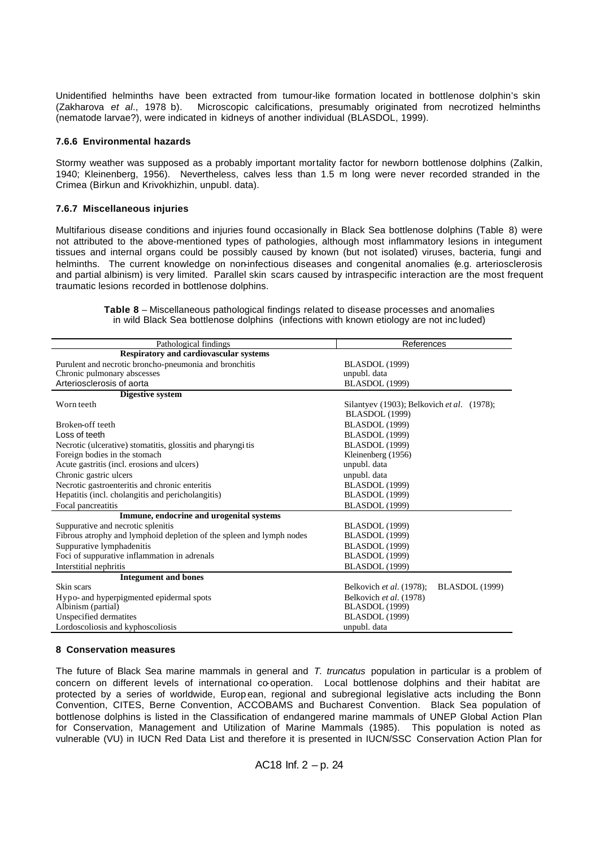Unidentified helminths have been extracted from tumour-like formation located in bottlenose dolphin's skin (Zakharova *et al*., 1978 b). Microscopic calcifications, presumably originated from necrotized helminths (nematode larvae?), were indicated in kidneys of another individual (BLASDOL, 1999).

#### **7.6.6 Environmental hazards**

Stormy weather was supposed as a probably important mortality factor for newborn bottlenose dolphins (Zalkin, 1940; Kleinenberg, 1956). Nevertheless, calves less than 1.5 m long were never recorded stranded in the Crimea (Birkun and Krivokhizhin, unpubl. data).

#### **7.6.7 Miscellaneous injuries**

Multifarious disease conditions and injuries found occasionally in Black Sea bottlenose dolphins (Table 8) were not attributed to the above-mentioned types of pathologies, although most inflammatory lesions in integument tissues and internal organs could be possibly caused by known (but not isolated) viruses, bacteria, fungi and helminths. The current knowledge on non-infectious diseases and congenital anomalies (e.g. arteriosclerosis and partial albinism) is very limited. Parallel skin scars caused by intraspecific interaction are the most frequent traumatic lesions recorded in bottlenose dolphins.

**Table 8** – Miscellaneous pathological findings related to disease processes and anomalies in wild Black Sea bottlenose dolphins (infections with known etiology are not inc luded)

| Pathological findings                                                | References                                        |
|----------------------------------------------------------------------|---------------------------------------------------|
| <b>Respiratory and cardiovascular systems</b>                        |                                                   |
| Purulent and necrotic broncho-pneumonia and bronchitis               | <b>BLASDOL</b> (1999)                             |
| Chronic pulmonary abscesses                                          | unpubl. data                                      |
| Arteriosclerosis of aorta                                            | <b>BLASDOL</b> (1999)                             |
| Digestive system                                                     |                                                   |
| Worn teeth                                                           | Silantyev (1903); Belkovich et al. (1978);        |
|                                                                      | <b>BLASDOL</b> (1999)                             |
| Broken-off teeth                                                     | <b>BLASDOL</b> (1999)                             |
| Loss of teeth                                                        | BLASDOL (1999)                                    |
| Necrotic (ulcerative) stomatitis, glossitis and pharyngi tis         | <b>BLASDOL</b> (1999)                             |
| Foreign bodies in the stomach                                        | Kleinenberg (1956)                                |
| Acute gastritis (incl. erosions and ulcers)                          | unpubl. data                                      |
| Chronic gastric ulcers                                               | unpubl. data                                      |
| Necrotic gastroenteritis and chronic enteritis                       | <b>BLASDOL</b> (1999)                             |
| Hepatitis (incl. cholangitis and pericholangitis)                    | <b>BLASDOL</b> (1999)                             |
| Focal pancreatitis                                                   | BLASDOL (1999)                                    |
| Immune, endocrine and urogenital systems                             |                                                   |
| Suppurative and necrotic splenitis                                   | <b>BLASDOL</b> (1999)                             |
| Fibrous atrophy and lymphoid depletion of the spleen and lymph nodes | <b>BLASDOL</b> (1999)                             |
| Suppurative lymphadenitis                                            | <b>BLASDOL</b> (1999)                             |
| Foci of suppurative inflammation in adrenals                         | <b>BLASDOL</b> (1999)                             |
| Interstitial nephritis                                               | BLASDOL (1999)                                    |
| <b>Integument and bones</b>                                          |                                                   |
| Skin scars                                                           | <b>BLASDOL</b> (1999)<br>Belkovich et al. (1978); |
| Hypo- and hyperpigmented epidermal spots                             | Belkovich et al. (1978)                           |
| Albinism (partial)                                                   | <b>BLASDOL</b> (1999)                             |
| Unspecified dermatites                                               | <b>BLASDOL</b> (1999)                             |
| Lordoscoliosis and kyphoscoliosis                                    | unpubl. data                                      |

#### **8 Conservation measures**

The future of Black Sea marine mammals in general and *T. truncatus* population in particular is a problem of concern on different levels of international co-operation. Local bottlenose dolphins and their habitat are protected by a series of worldwide, Europ ean, regional and subregional legislative acts including the Bonn Convention, CITES, Berne Convention, ACCOBAMS and Bucharest Convention. Black Sea population of bottlenose dolphins is listed in the Classification of endangered marine mammals of UNEP Global Action Plan for Conservation, Management and Utilization of Marine Mammals (1985). This population is noted as vulnerable (VU) in IUCN Red Data List and therefore it is presented in IUCN/SSC Conservation Action Plan for